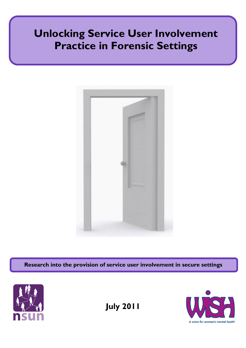# Unlocking Service User Involvement Practice in Forensic Settings



Research into the provision of service user involvement in secure settings



July 2011

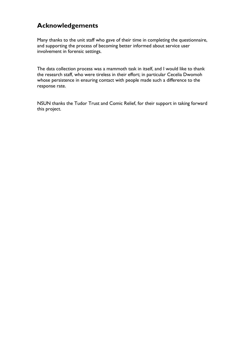# Acknowledgements

Many thanks to the unit staff who gave of their time in completing the questionnaire, and supporting the process of becoming better informed about service user involvement in forensic settings.

The data collection process was a mammoth task in itself, and I would like to thank the research staff, who were tireless in their effort; in particular Cecelia Dwomoh whose persistence in ensuring contact with people made such a difference to the response rate.

NSUN thanks the Tudor Trust and Comic Relief, for their support in taking forward this project.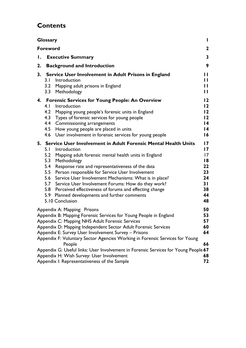# **Contents**

| <b>Glossary</b><br>L |                                                                                                                                                                                                                                                                                                                                                                                                                                                                                                                                                                            |                                                                                                                   |  |
|----------------------|----------------------------------------------------------------------------------------------------------------------------------------------------------------------------------------------------------------------------------------------------------------------------------------------------------------------------------------------------------------------------------------------------------------------------------------------------------------------------------------------------------------------------------------------------------------------------|-------------------------------------------------------------------------------------------------------------------|--|
| <b>Foreword</b>      |                                                                                                                                                                                                                                                                                                                                                                                                                                                                                                                                                                            |                                                                                                                   |  |
| Ι.                   | <b>Executive Summary</b>                                                                                                                                                                                                                                                                                                                                                                                                                                                                                                                                                   | 3                                                                                                                 |  |
| 2.                   | <b>Background and Introduction</b>                                                                                                                                                                                                                                                                                                                                                                                                                                                                                                                                         | 9                                                                                                                 |  |
| 3.                   | Service User Involvement in Adult Prisons in England<br>3. I<br>Introduction<br>3.2<br>Mapping adult prisons in England<br>3.3<br>Methodology                                                                                                                                                                                                                                                                                                                                                                                                                              | П<br>П<br>П<br>П                                                                                                  |  |
|                      | 4. Forensic Services for Young People: An Overview<br>4.1<br>Introduction<br>4.2<br>Mapping young people's forensic units in England<br>4.3<br>Types of forensic services for young people<br>4.4<br>Commissioning arrangements<br>4.5<br>How young people are placed in units<br>4.6<br>User involvement in forensic services for young people                                                                                                                                                                                                                            | $\overline{2}$<br>$\overline{2}$<br>$\overline{2}$<br>$\overline{2}$<br>$\overline{14}$<br>14<br>16               |  |
|                      | 5. Service User Involvement in Adult Forensic Mental Health Units<br>5. I<br>Introduction<br>5.2<br>Mapping adult forensic mental health units in England<br>5.3<br>Methodology<br>5.4<br>Response rate and representativeness of the data<br>5.5<br>Person responsible for Service User Involvement<br>5.6<br>Service User Involvement Mechanisms: What is in place?<br>Service User Involvement Forums: How do they work?<br>5.7<br>5.8<br>Perceived effectiveness of forums and effecting change<br>5.9<br>Planned developments and further comments<br>5.10 Conclusion | $\overline{17}$<br>$\overline{17}$<br>$\overline{17}$<br>$\overline{8}$<br>22<br>23<br>24<br>31<br>38<br>44<br>48 |  |
|                      | Appendix A: Mapping: Prisons<br>Appendix B: Mapping Forensic Services for Young People in England<br>Appendix C: Mapping NHS Adult Forensic Services<br>Appendix D: Mapping Independent Sector Adult Forensic Services<br>Appendix E: Survey User Involvement Survey - Prisons<br>Appendix F: Voluntary Sector Agencies Working in Forensic Services for Young<br>People<br>Appendix G: Useful links: User Involvement in Forensic Services for Young People 67<br>Appendix H: Wish Survey: User Involvement<br>Appendix I: Representativeness of the Sample               | 50<br>53<br>57<br>60<br>64<br>66<br>68<br>72                                                                      |  |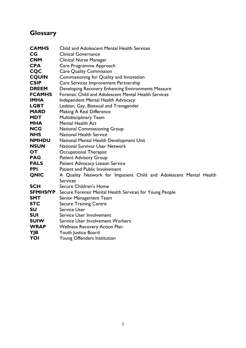# **Glossary**

| <b>CAMHS</b>    | <b>Child and Adolescent Mental Health Services</b>                 |
|-----------------|--------------------------------------------------------------------|
| CG              | <b>Clinical Governance</b>                                         |
| <b>CNM</b>      | <b>Clinical Nurse Manager</b>                                      |
| <b>CPA</b>      | Care Programme Approach                                            |
| <b>CQC</b>      | <b>Care Quality Commission</b>                                     |
| <b>CQUIN</b>    | Commissioning for Quality and Innovation                           |
| <b>CSIP</b>     | Care Services Improvement Partnership                              |
| <b>DREEM</b>    | Developing Recovery Enhancing Environments Measure                 |
| <b>FCAMHS</b>   | <b>Forensic Child and Adolescent Mental Health Services</b>        |
| <b>IMHA</b>     | <b>Independent Mental Health Advocacy</b>                          |
| <b>LGBT</b>     | Lesbian, Gay, Bisexual and Transgender                             |
| <b>MARD</b>     | Making A Real Difference                                           |
| <b>MDT</b>      | Multidisciplinary Team                                             |
| <b>MHA</b>      | <b>Mental Health Act</b>                                           |
| <b>NCG</b>      | <b>National Commissioning Group</b>                                |
| <b>NHS</b>      | <b>National Health Service</b>                                     |
| <b>NMHDU</b>    | National Mental Health Development Unit                            |
| <b>NSUN</b>     | <b>National Survivor User Network</b>                              |
| OT              | Occupational Therapist                                             |
| <b>PAG</b>      | <b>Patient Advisory Group</b>                                      |
| <b>PALS</b>     | Patient Advocacy Liaison Service                                   |
| <b>PPI</b>      | Patient and Public Involvement                                     |
| <b>QNIC</b>     | A Quality Network for Impatient Child and Adolescent Mental Health |
|                 | <b>Services</b>                                                    |
| <b>SCH</b>      | Secure Children's Home                                             |
| <b>SFMHSfYP</b> | Secure Forensic Mental Health Services for Young People            |
| <b>SMT</b>      | Senior Management Team                                             |
| <b>STC</b>      | <b>Secure Training Centre</b>                                      |
| <b>SU</b>       | <b>Service User</b>                                                |
| <b>SUI</b>      | Service User Involvement                                           |
| <b>SUIW</b>     | <b>Service User Involvement Workers</b>                            |
| <b>WRAP</b>     | <b>Wellness Recovery Action Plan</b>                               |
| YJB             | Youth Justice Board                                                |
| YOI             | <b>Young Offenders Institution</b>                                 |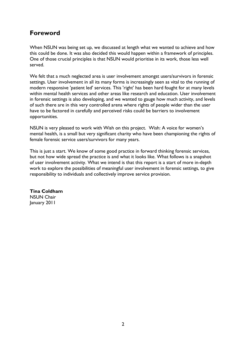# Foreword

When NSUN was being set up, we discussed at length what we wanted to achieve and how this could be done. It was also decided this would happen within a framework of principles. One of those crucial principles is that NSUN would prioritise in its work, those less well served.

We felt that a much neglected area is user involvement amongst users/survivors in forensic settings. User involvement in all its many forms is increasingly seen as vital to the running of modern responsive 'patient led' services. This 'right' has been hard fought for at many levels within mental health services and other areas like research and education. User involvement in forensic settings is also developing, and we wanted to gauge how much activity, and levels of such there are in this very controlled arena where rights of people wider than the user have to be factored in carefully and perceived risks could be barriers to involvement opportunities.

NSUN is very pleased to work with Wish on this project. Wish: A voice for women's mental health, is a small but very significant charity who have been championing the rights of female forensic service users/survivors for many years.

This is just a start. We know of some good practice in forward thinking forensic services, but not how wide spread the practice is and what it looks like. What follows is a snapshot of user involvement activity. What we intend is that this report is a start of more in-depth work to explore the possibilities of meaningful user involvement in forensic settings, to give responsibility to individuals and collectively improve service provision.

Tina Coldham NSUN Chair January 2011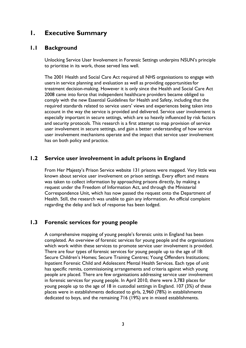# 1. Executive Summary

### 1.1 Background

Unlocking Service User Involvement in Forensic Settings underpins NSUN's principle to prioritise in its work, those served less well.

The 2001 Health and Social Care Act required all NHS organisations to engage with usersin service planning and evaluation as well as providing opportunitiesfor treatment decision-making. However it is only since the Health and Social Care Act 2008 came into force that independent healthcare providers became obliged to comply with the new Essential Guidelines for Health and Safety, including that the required standards related to service users' views and experiences being taken into account in the way the service is provided and delivered. Service user involvement is especially important in secure settings, which are so heavily influenced by risk factors and security protocols. This research is a first attempt to map provision of service user involvement in secure settings, and gain a better understanding of how service user involvement mechanisms operate and the impact that service user involvement has on both policy and practice.

## 1.2 Service user involvement in adult prisons in England

From Her Majesty's Prison Service website 131 prisons were mapped. Very little was known about service user involvement on prison settings. Every effort and means was taken to collect information by approaching prisons directly, by making a request under the Freedom of Information Act, and through the Ministerial Correspondence Unit, which has now passed the request onto the Department of Health. Still, the research was unable to gain any information. An official complaint regarding the delay and lack of response has been lodged.

# 1.3 Forensic services for young people

A comprehensive mapping of young people's forensic units in England has been completed. An overview of forensic services for young people and the organisations which work within these services to promote service user involvement is provided. There are four types of forensic services for young people up to the age of 18: Secure Children's Homes; Secure Training Centres; Young Offenders Institutions; Inpatient Forensic Child and Adolescent Mental Health Services. Each type of unit has specific remits, commissioning arrangements and criteria against which young people are placed. There are few organisations addressing service user involvement in forensic services for young people. In April 2010, there were 3,783 places for young people up to the age of 18 in custodial settings in England. 107 (3%) of these places were in establishments dedicated to girls, 2,960 (78%) in establishments dedicated to boys, and the remaining 716 (19%) are in mixed establishments.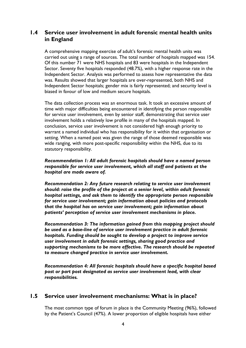# 1.4 Service user involvement in adult forensic mental health units in England

A comprehensive mapping exercise of adult's forensic mental health units was carried out using a range of sources. The total number of hospitals mapped was 154. Of this number 71 were NHS hospitals and 83 were hospitals in the Independent Sector. Seventy five hospitals responded (48.7%), with a higher response rate in the Independent Sector. Analysis was performed to assess how representative the data was. Results showed that larger hospitals are over-represented, both NHS and Independent Sector hospitals; gender mix is fairly represented; and security level is biased in favour of low and medium secure hospitals.

The data collection process was an enormous task. It took an excessive amount of time with major difficulties being encountered in identifying the person responsible for service user involvement, even by senior staff, demonstrating that service user involvement holds a relatively low profile in many of the hospitals mapped. In conclusion, service user involvement is not considered high enough priority to warrant a named individual who has responsibility for it within that organisation or setting. When a named post was given the range of those deemed responsible was wide ranging, with more post-specific responsibility within the NHS, due to its statutory responsibility.

#### Recommendation 1: All adult forensic hospitals should have a named person responsible for service user involvement, which all staff and patients at the hospital are made aware of.

Recommendation 2: Any future research relating to service user involvement should: raise the profile of the project at a senior level, within adult forensic hospital settings, and ask them to identify the appropriate person responsible for service user involvement; gain information about policies and protocols that the hospital has on service user involvement; gain information about patients' perception of service user involvement mechanisms in place.

Recommendation 3: The information gained from this mapping project should be used as a base-line of service user involvement practice in adult forensic hospitals. Funding should be sought to develop a project to improve service user involvement in adult forensic settings, sharing good practice and supporting mechanisms to be more effective. The research should be repeated to measure changed practice in service user involvement.

Recommendation 4: All forensic hospitals should have a specific hospital based post or part post designated as service user involvement lead, with clear responsibilities.

### 1.5 Service user involvement mechanisms: What is in place?

The most common type of forum in place is the Community Meeting (96%), followed by the Patient's Council (47%). A lower proportion of eligible hospitals have either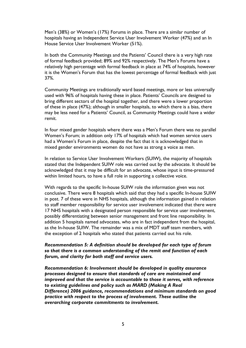Men's (38%) or Women's (17%) Forums in place. There are a similar number of hospitals having an Independent Service User Involvement Worker (47%) and an In House Service User Involvement Worker (51%).

In both the Community Meetings and the Patients' Council there is a very high rate of formal feedback provided; 89% and 92% respectively. The Men's Forums have a relatively high percentage with formal feedback in place at 74% of hospitals, however it is the Women's Forum that has the lowest percentage of formal feedback with just 37%.

Community Meetings are traditionally ward based meetings, more or less universally used with 96% of hospitals having these in place. Patients' Councils are designed to bring different sectors of the hospital together, and there were a lower proportion of these in place (47%); although in smaller hospitals, to which there is a bias, there may be less need for a Patients' Council, as Community Meetings could have a wider remit.

In four mixed gender hospitals where there was a Men's Forum there was no parallel Women's Forum; in addition only 17% of hospitals which had women service users had a Women's Forum in place, despite the fact that it is acknowledged that in mixed gender environments women do not have as strong a voice as men.

In relation to Service User Involvement Workers (SUIW), the majority of hospitals stated that the Independent SUIW role was carried out by the advocate. It should be acknowledged that it may be difficult for an advocate, whose input is time-pressured within limited hours, to have a full role in supporting a collective voice.

With regards to the specific In-house SUIW role the information given was not conclusive. There were 8 hospitals which said that they had a specific In-house SUIW in post. 7 of these were in NHS hospitals, although the information gained in relation to staff member responsibility for service user involvement indicated that there were 17 NHS hospitals with a designated person responsible for service user involvement, possibly differentiating between senior management and front line responsibility. In addition 5 hospitals named advocates, who are in fact independent from the hospital, as the In-house SUIW. The remainder was a mix of MDT staff team members, with the exception of 2 hospitals who stated that patients carried out his role.

#### Recommendation 5: A definition should be developed for each type of forum so that there is a common understanding of the remit and function of each forum, and clarity for both staff and service users.

Recommendation 6: Involvement should be developed in quality assurance processes designed to ensure that standards of care are maintained and improved and that the service is accountable to those it serves, with reference to existing guidelines and policy such as MARD (Making A Real Difference) 2006 guidance, recommendations and minimum standards on good practice with respect to the process of involvement. These outline the overarching corporate commitments to involvement.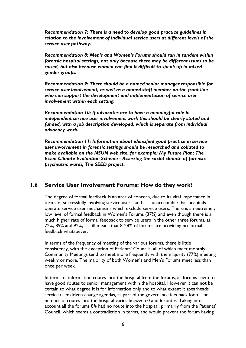Recommendation 7: There is a need to develop good practice guidelines in relation to the involvement of individual service users at different levels of the service user pathway.

Recommendation 8: Men's and Women's Forums should run in tandem within forensic hospital settings, not only because there may be different issues to be raised, but also because women can find it difficult to speak up in mixed gender groups.

Recommendation 9: There should be a named senior manager responsible for service user involvement, as well as a named staff member on the front line who can support the development and implementation of service user involvement within each setting.

Recommendation 10: If advocates are to have a meaningful role in independent service user involvement work this should be clearly stated and funded, with a job description developed, which is separate from individual advocacy work.

Recommendation 11: Information about identified good practice in service user involvement in forensic settings should be researched and collated to make available on the NSUN web site, for example: My Future Plan; The Essen Climate Evaluation Scheme - Assessing the social climate of forensic psychiatric wards; The SEED project.

# 1.6 Service User Involvement Forums: How do they work?

The degree of formal feedback is an area of concern, due to its vital importance in terms of successfully involving service users, and it is unacceptable that hospitals operate service user mechanisms which exclude service users. There is an extremely low level of formal feedback in Women's Forums (37%) and even though there is a much higher rate of formal feedback to service users in the other three forums, at 72%, 89% and 92%, it still means that 8-28% of forums are providing no formal feedback whatsoever.

In terms of the frequency of meeting of the various forums, there is little consistency, with the exception of Patients' Councils, all of which meet monthly. Community Meetings tend to meet more frequently with the majority (77%) meeting weekly or more. The majority of both Women's and Men's Forums meet less than once per week.

In terms of information routes into the hospital from the forums, all forums seem to have good routes to senior management within the hospital. However it can not be certain to what degree it is for information only and to what extent it spearheads service user driven change agendas, as part of the governance feedback loop. The number of routes into the hospital varies between 0 and 6 routes. Taking into account all the forums 8% had no route into the hospital, primarily from the Patients' Council, which seems a contradiction in terms, and would prevent the forum having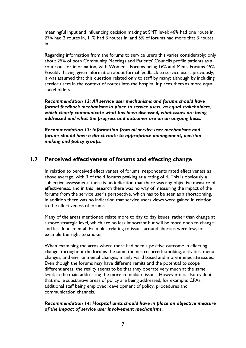meaningful input and influencing decision making at SMT level; 46% had one route in, 27% had 2 routes in, 11% had 3 routes in, and 5% of forums had more that 3 routes in.

Regarding information from the forums to service users this varies considerably; only about 25% of both Community Meetings and Patients' Councils profile patients as a route out for information, with Women's Forums being 16% and Men's Forums 45%. Possibly, having given information about formal feedback to service users previously, it was assumed that this question related only to staff by many; although by including service users in the context of routes into the hospital it places them as more equal stakeholders.

Recommendation 12: All service user mechanisms and forums should have formal feedback mechanisms in place to service users, as equal stakeholders, which clearly communicate what has been discussed, what issues are being addressed and what the progress and outcomes are on an ongoing basis.

Recommendation 13: Information from all service user mechanisms and forums should have a direct route to appropriate management, decision making and policy groups.

# 1.7 Perceived effectiveness of forums and effecting change

In relation to perceived effectiveness of forums, respondents rated effectiveness as above average, with 3 of the 4 forums peaking at a rating of 4. This is obviously a subjective assessment; there is no indication that there was any objective measure of effectiveness, and in this research there was no way of measuring the impact of the forums from the service user's perspective, which has to be seen as a shortcoming. In addition there was no indication that service users views were gained in relation to the effectiveness of forums.

Many of the areas mentioned relate more to day to day issues, rather than change at a more strategic level, which are no less important but will be more open to change and less fundamental. Examples relating to issues around liberties were few, for example the right to smoke.

When examining the areas where there had been a positive outcome in effecting change, throughout the forums the same themes recurred: smoking, activities, menu changes, and environmental changes; mainly ward based and more immediate issues. Even though the forums may have different remits and the potential to scope different areas, the reality seems to be that they operate very much at the same level; in the main addressing the more immediate issues. However it is also evident that more substantive areas of policy are being addressed, for example: CPAs; additional staff being employed; development of policy, procedures and communication channels.

#### Recommendation 14: Hospital units should have in place an objective measure of the impact of service user involvement mechanisms.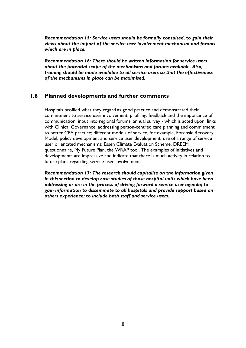Recommendation 15: Service users should be formally consulted, to gain their views about the impact of the service user involvement mechanism and forums which are in place.

Recommendation 16: There should be written information for service users about the potential scope of the mechanisms and forums available. Also, training should be made available to all service users so that the effectiveness of the mechanisms in place can be maximised.

#### 1.8 Planned developments and further comments

Hospitals profiled what they regard as good practice and demonstrated their commitment to service user involvement, profiling: feedback and the importance of communication; input into regional forums; annual survey - which is acted upon; links with Clinical Governance; addressing person-centred care planning and commitment to better CPA practice; different models of service, for example, Forensic Recovery Model; policy development and service user development; use of a range of service user orientated mechanisms: Essen Climate Evaluation Scheme, DREEM questionnaire, My Future Plan, the WRAP tool. The examples of initiatives and developments are impressive and indicate that there is much activity in relation to future plans regarding service user involvement.

Recommendation 17: The research should capitalise on the information given in this section to develop case studies of those hospital units which have been addressing or are in the process of driving forward a service user agenda; to gain information to disseminate to all hospitals and provide support based on others experience; to include both staff and service users.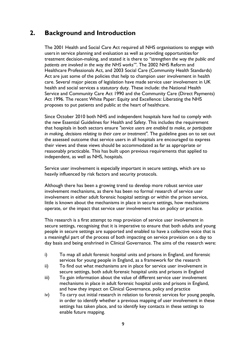# 2. Background and Introduction

The 2001 Health and Social Care Act required all NHS organisations to engage with usersin service planning and evaluation as well as providing opportunitiesfor treatment decision-making, and stated it is there to "strengthen the way the public and patients are involved in the way the NHS works"'. The 2002 NHS Reform and Healthcare Professionals Act, and 2003 Social Care (Community Health Standards) Act are just some of the policies that help to champion user involvement in health care. Several major pieces of legislation have made service user involvement in UK health and social services a statutory duty. These include: the National Health Service and Community Care Act 1990 and the Community Care (Direct Payments) Act 1996. The recent White Paper: Equity and Excellence: Liberating the NHS proposes to put patients and public at the heart of healthcare.

Since October 2010 both NHS and independent hospitals have had to comply with the new Essential Guidelines for Health and Safety. This includes the requirement that hospitals in both sectors ensure "service users are enabled to make, or participate in making, decisions relating to their care or treatment". The guideline goes on to set out the assessed outcome that service users in all hospitals are encouraged to express their views and these views should be accommodated as far as appropriate or reasonably practicable. This has built upon previous requirements that applied to independent, as well as NHS, hospitals.

Service user involvement is especially important in secure settings, which are so heavily influenced by risk factors and security protocols.

Although there has been a growing trend to develop more robust service user involvement mechanisms, as there has been no formal research of service user involvement in either adult forensic hospital settings or within the prison service, little is known about the mechanisms in place in secure settings, how mechanisms operate, or the impact that service user involvement has on policy or practice.

This research is a first attempt to map provision of service user involvement in secure settings, recognising that it is imperative to ensure that both adults and young people in secure settings are supported and enabled to have a collective voice that is a meaningful part of the process of both impacting on service provision on a day to day basis and being enshrined in Clinical Governance. The aims of the research were:

- i) To map all adult forensic hospital units and prisons in England, and forensic services for young people in England, as a framework for the research
- ii) To find out what mechanisms are in place for service user involvement in secure settings, both adult forensic hospital units and prisons in England
- iii) To gain information about the value of different service user involvement mechanisms in place in adult forensic hospital units and prisons in England, and how they impact on Clinical Governance, policy and practice
- iv) To carry out initial research in relation to forensic services for young people, in order to identify whether a previous mapping of user involvement in these settings has taken place, and to identify key contacts in these settings to enable future mapping.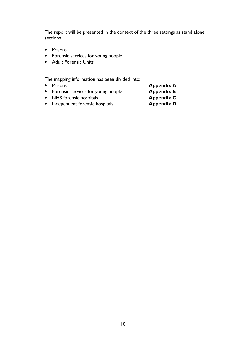The report will be presented in the context of the three settings as stand alone sections

- Prisons
- Forensic services for young people
- Adult Forensic Units

The mapping information has been divided into:

- Prisons **Appendix A**
- Forensic services for young people **Appendix B** 
	-
- NHS forensic hospitals **Appendix C**<br>• Independent forensic hospitals **Appendix D**  $\bullet$  Independent forensic hospitals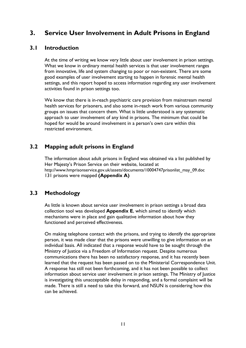# 3. Service User Involvement in Adult Prisons in England

# 3.1 Introduction

At the time of writing we know very little about user involvement in prison settings. What we know in ordinary mental health services is that user involvement ranges from innovative, life and system changing to poor or non-existent. There are some good examples of user involvement starting to happen in forensic mental health settings, and this report hoped to access information regarding any user involvement activities found in prison settings too.

We know that there is in-reach psychiatric care provision from mainstream mental health services for prisoners, and also some in-reach work from various community groups on issues that concern them. What is little understood is any systematic approach to user involvement of any kind in prisons. The minimum that could be hoped for would be around involvement in a person's own care within this restricted environment.

# 3.2 Mapping adult prisons in England

The information about adult prisons in England was obtained via a list published by Her Majesty's Prison Service on their website, located at http://www.hmprisonservice.gov.uk/assets/documents/10004747prisonlist\_may\_09.doc 131 prisons were mapped (Appendix A)

# 3.3 Methodology

As little is known about service user involvement in prison settings a broad data collection tool was developed Appendix E, which aimed to identify which mechanisms were in place and gain qualitative information about how they functioned and perceived effectiveness.

On making telephone contact with the prisons, and trying to identify the appropriate person, it was made clear that the prisons were unwilling to give information on an individual basis. All indicated that a response would have to be sought through the Ministry of Justice via a Freedom of Information request. Despite numerous communications there has been no satisfactory response, and it has recently been learned that the request has been passed on to the Ministerial Correspondence Unit. A response has still not been forthcoming, and it has not been possible to collect information about service user involvement in prison settings. The Ministry of Justice is investigating this unacceptable delay in responding, and a formal complaint will be made. There is still a need to take this forward, and NSUN is considering how this can be achieved.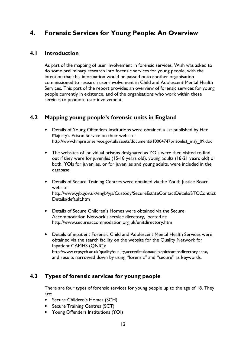# 4. Forensic Services for Young People: An Overview

# 4.1 Introduction

As part of the mapping of user involvement in forensic services, Wish was asked to do some preliminary research into forensic services for young people, with the intention that this information would be passed onto another organisation commissioned to research user involvement in Child and Adolescent Mental Health Services. This part of the report provides an overview of forensic services for young people currently in existence, and of the organisations who work within these services to promote user involvement.

# 4.2 Mapping young people's forensic units in England

- Details of Young Offenders Institutions were obtained a list published by Her Majesty's Prison Service on their website: http://www.hmprisonservice.gov.uk/assets/documents/10004747prisonlist\_may\_09.doc
- The websites of individual prisons designated as YOIs were then visited to find out if they were for juveniles (15-18 years old), young adults (18-21 years old) or both. YOIs for juveniles, or for juveniles and young adults, were included in the database.
- Details of Secure Training Centres were obtained via the Youth Justice Board website: http://www.yjb.gov.uk/engb/yjs/Custody/SecureEstateContactDetails/STCContact Details/default.htm
- Details of Secure Children's Homes were obtained via the Secure Accommodation Network's service directory, located at: http://www.secureaccommodation.org.uk/unitdirectory.htm
- Details of inpatient Forensic Child and Adolescent Mental Health Services were obtained via the search facility on the website for the Quality Network for Inpatient CAMHS (QNIC): http://www.rcpsych.ac.uk/quality/quality,accreditationaudit/qnic/camhsdirectory.aspx, and results narrowed down by using "forensic" and "secure" as keywords.

# 4.3 Types of forensic services for young people

There are four types of forensic services for young people up to the age of 18. They are:

- Secure Children's Homes (SCH)
- Secure Training Centres (SCT)
- Young Offenders Institutions (YOI)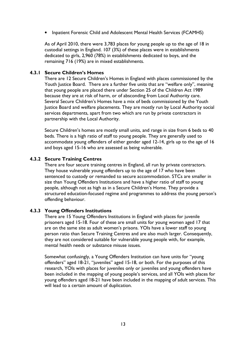• Inpatient Forensic Child and Adolescent Mental Health Services (FCAMHS)

As of April 2010, there were 3,783 places for young people up to the age of 18 in custodial settings in England. 107 (3%) of these places were in establishments dedicated to girls, 2,960 (78%) in establishments dedicated to boys, and the remaining 716 (19%) are in mixed establishments.

#### 4.3.1 Secure Children's Homes

There are 12 Secure Children's Homes in England with places commissioned by the Youth Justice Board. There are a further five units that are "welfare only", meaning that young people are placed there under Section 25 of the Children Act 1989 because they are at risk of harm, or of absconding from Local Authority care. Several Secure Children's Homes have a mix of beds commissioned by the Youth Justice Board and welfare placements. They are mostly run by Local Authority social services departments, apart from two which are run by private contractors in partnership with the Local Authority.

Secure Children's homes are mostly small units, and range in size from 6 beds to 40 beds. There is a high ratio of staff to young people. They are generally used to accommodate young offenders of either gender aged 12-14, girls up to the age of 16 and boys aged 15-16 who are assessed as being vulnerable.

#### 4.3.2 Secure Training Centres

There are four secure training centres in England, all run by private contractors. They house vulnerable young offenders up to the age of 17 who have been sentenced to custody or remanded to secure accommodation. STCs are smaller in size than Young Offenders Institutions and have a higher ratio of staff to young people, although not as high as in a Secure Children's Home. They provide a structured education-focused regime and programmes to address the young person's offending behaviour.

#### 4.3.3 Young Offenders Institutions

There are 15 Young Offenders Institutions in England with places for juvenile prisoners aged 15-18. Four of these are small units for young women aged 17 that are on the same site as adult women's prisons. YOIs have a lower staff to young person ratio than Secure Training Centres and are also much larger. Consequently, they are not considered suitable for vulnerable young people with, for example, mental health needs or substance misuse issues.

Somewhat confusingly, a Young Offenders Institution can have units for "young offenders" aged 18-21, "juveniles" aged 15-18, or both. For the purposes of this research, YOIs with places for juveniles only or juveniles and young offenders have been included in the mapping of young people's services, and all YOIs with places for young offenders aged 18-21 have been included in the mapping of adult services. This will lead to a certain amount of duplication.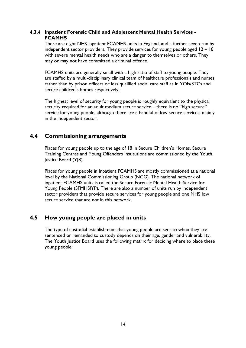#### 4.3.4 Inpatient Forensic Child and Adolescent Mental Health Services - **FCAMHS**

There are eight NHS inpatient FCAMHS units in England, and a further seven run by independent sector providers. They provide services for young people aged 12 – 18 with severe mental health needs who are a danger to themselves or others. They may or may not have committed a criminal offence.

FCAMHS units are generally small with a high ratio of staff to young people. They are staffed by a multi-disciplinary clinical team of healthcare professionals and nurses, rather than by prison officers or less qualified social care staff as in YOIs/STCs and secure children's homes respectively.

The highest level of security for young people is roughly equivalent to the physical security required for an adult medium secure service – there is no "high secure" service for young people, although there are a handful of low secure services, mainly in the independent sector.

# 4.4 Commissioning arrangements

Places for young people up to the age of 18 in Secure Children's Homes, Secure Training Centres and Young Offenders Institutions are commissioned by the Youth Justice Board (YJB).

Places for young people in Inpatient FCAMHS are mostly commissioned at a national level by the National Commissioning Group (NCG). The national network of inpatient FCAMHS units is called the Secure Forensic Mental Health Service for Young People (SFMHSfYP). There are also a number of units run by independent sector providers that provide secure services for young people and one NHS low secure service that are not in this network.

# 4.5 How young people are placed in units

The type of custodial establishment that young people are sent to when they are sentenced or remanded to custody depends on their age, gender and vulnerability. The Youth Justice Board uses the following matrix for deciding where to place these young people: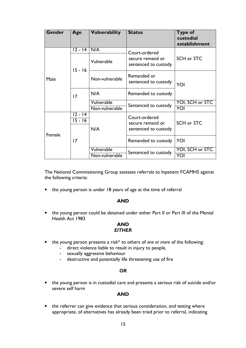| <b>Gender</b> | Age                    | <b>Vulnerability</b> | <b>Status</b>                            | <b>Type of</b><br>custodial<br>establishment |
|---------------|------------------------|----------------------|------------------------------------------|----------------------------------------------|
|               | 12 - 14                | N/A                  | Court-ordered                            |                                              |
|               | $15 - 16$              | Vulnerable           | secure remand or<br>sentenced to custody | SCH or STC                                   |
| Male          |                        | Non-vulnerable       | Remanded or<br>sentenced to custody      | YOI                                          |
|               | 17                     | N/A                  | Remanded to custody                      |                                              |
|               |                        | Vulnerable           | Sentenced to custody                     | YOI, SCH or STC                              |
|               |                        | Non-vulnerable       |                                          | YOI                                          |
|               | $12 - 14$<br>$15 - 16$ | N/A                  | Court-ordered<br>secure remand or        | SCH or STC                                   |
| Female        | $\overline{17}$        |                      | sentenced to custody                     |                                              |
|               |                        |                      | Remanded to custody                      | YOI                                          |
|               |                        | Vulnerable           | Sentenced to custody                     | YOI, SCH or STC                              |
|               |                        | Non-vulnerable       |                                          | YOI                                          |

The National Commissioning Group assesses referrals to Inpatient FCAMHS against the following criteria:

• the young person is under 18 years of age at the time of referral

#### AND

• the young person could be detained under either Part II or Part III of the Mental Health Act 1983

#### AND **EITHER**

- the young person presents a risk\* to others of one or more of the following:
	- direct violence liable to result in injury to people,
	- sexually aggressive behaviour
	- destructive and potentially life threatening use of fire

#### **OR**

• the young person is in custodial care and presents a serious risk of suicide and/or severe self harm

#### AND

• the referrer can give evidence that serious consideration, and testing where appropriate, of alternatives has already been tried prior to referral, indicating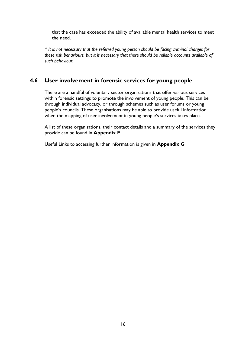that the case has exceeded the ability of available mental health services to meet the need.

\* It is not necessary that the referred young person should be facing criminal charges for these risk behaviours, but it is necessary that there should be reliable accounts available of such behaviour.

# 4.6 User involvement in forensic services for young people

There are a handful of voluntary sector organisations that offer various services within forensic settings to promote the involvement of young people. This can be through individual advocacy, or through schemes such as user forums or young people's councils. These organisations may be able to provide useful information when the mapping of user involvement in young people's services takes place.

A list of these organisations, their contact details and a summary of the services they provide can be found in Appendix F

Useful Links to accessing further information is given in Appendix G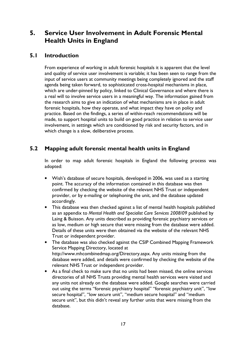# 5. Service User Involvement in Adult Forensic Mental Health Units in England

## 5.1 Introduction

From experience of working in adult forensic hospitals it is apparent that the level and quality of service user involvement is variable; it has been seen to range from the input of service users at community meetings being completely ignored and the staff agenda being taken forward, to sophisticated cross-hospital mechanisms in place, which are under-pinned by policy, linked to Clinical Governance and where there is a real will to involve service users in a meaningful way. The information gained from the research aims to give an indication of what mechanisms are in place in adult forensic hospitals, how they operate, and what impact they have on policy and practice. Based on the findings, a series of within-reach recommendations will be made, to support hospital units to build on good practice in relation to service user involvement, in settings which are conditioned by risk and security factors, and in which change is a slow, deliberative process.

# 5.2 Mapping adult forensic mental health units in England

In order to map adult forensic hospitals in England the following process was adopted:

- Wish's database of secure hospitals, developed in 2006, was used as a starting point. The accuracy of the information contained in this database was then confirmed by checking the website of the relevant NHS Trust or independent provider, or by e-mailing or telephoning the unit, and the database updated accordingly.
- This database was then checked against a list of mental health hospitals published as an appendix to Mental Health and Specialist Care Services 2008/09 published by Laing & Buisson. Any units described as providing forensic psychiatry services or as low, medium or high secure that were missing from the database were added. Details of these units were then obtained via the website of the relevant NHS Trust or independent provider.
- The database was also checked against the CSIP Combined Mapping Framework Service Mapping Directory, located at http://www.mhcombinedmap.org/Directory.aspx. Any units missing from the database were added, and details were confirmed by checking the website of the relevant NHS Trust or independent provider.
- As a final check to make sure that no units had been missed, the online services directories of all NHS Trusts providing mental health services were visited and any units not already on the database were added. Google searches were carried out using the terms "forensic psychiatry hospital" "forensic psychiatry unit", "low secure hospital", "low secure unit", "medium secure hospital" and "medium secure unit", but this didn't reveal any further units that were missing from the database.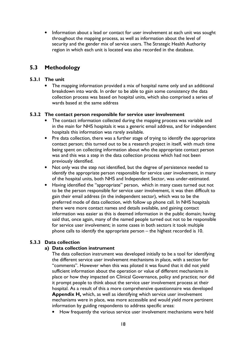• Information about a lead or contact for user involvement at each unit was sought throughout the mapping process, as well as information about the level of security and the gender mix of service users. The Strategic Health Authority region in which each unit is located was also recorded in the database.

# 5.3 Methodology

#### 5.3.1 The unit

• The mapping information provided a mix of hospital name only and an additional breakdown into wards. In order to be able to gain some consistency the data collection process was based on hospital units, which also comprised a series of wards based at the same address

#### 5.3.2 The contact person responsible for service user involvement

- The contact information collected during the mapping process was variable and in the main for NHS hospitals it was a generic email address, and for independent hospitals this information was rarely available.
- Pre data collection, there was a further stage of trying to identify the appropriate contact person; this turned out to be a research project in itself, with much time being spent on collecting information about who the appropriate contact person was and this was a step in the data collection process which had not been previously identified.
- Not only was the step not identified, but the degree of persistence needed to identify the appropriate person responsible for service user involvement, in many of the hospital units, both NHS and Independent Sector, was under-estimated.
- Having identified the "appropriate" person, which in many cases turned out not to be the person responsible for service user involvement, it was then difficult to gain their email address (in the independent sector), which was to be the preferred mode of data collection, with follow up phone call. In NHS hospitals there were more contact names and details available, and gaining contact information was easier as this is deemed information in the public domain; having said that, once again, many of the named people turned out not to be responsible for service user involvement; in some cases in both sectors it took multiple phone calls to identify the appropriate person – the highest recorded is 10.

#### 5.3.3 Data collection

#### a) Data collection instrument

The data collection instrument was developed initially to be a tool for identifying the different service user involvement mechanisms in place, with a section for "comments". However when this was piloted it was found that it did not yield sufficient information about the operation or value of different mechanisms in place or how they impacted on Clinical Governance, policy and practice; nor did it prompt people to think about the service user involvement process at their hospital. As a result of this a more comprehensive questionnaire was developed Appendix H, which, as well as identifying which service user involvement mechanisms were in place, was more accessible and would yield more pertinent information by guiding respondents to address specific areas:

• How frequently the various service user involvement mechanisms were held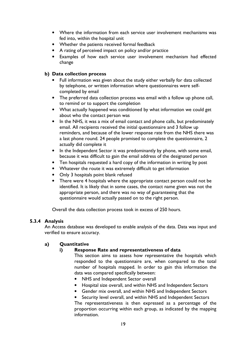- Where the information from each service user involvement mechanisms was fed into, within the hospital unit
- Whether the patients received formal feedback
- A rating of perceived impact on policy and/or practice
- Examples of how each service user involvement mechanism had effected change

#### b) Data collection process

- Full information was given about the study either verbally for data collected by telephone, or written information where questionnaires were selfcompleted by email
- The preferred data collection process was email with a follow up phone call, to remind or to support the completion
- What actually happened was conditioned by what information we could get about who the contact person was
- In the NHS, it was a mix of email contact and phone calls, but predominately email. All recipients received the initial questionnaire and 3 follow up reminders, and because of the lower response rate from the NHS there was a last phone round. 24 people promised to complete the questionnaire, 2 actually did complete it
- In the Independent Sector it was predominantly by phone, with some email, because it was difficult to gain the email address of the designated person
- Ten hospitals requested a hard copy of the information in writing by post
- Whatever the route it was extremely difficult to get information
- Only 3 hospitals point blank refused
- There were 4 hospitals where the appropriate contact person could not be identified. It is likely that in some cases, the contact name given was not the appropriate person, and there was no way of guaranteeing that the questionnaire would actually passed on to the right person.

Overall the data collection process took in excess of 250 hours.

### 5.3.4 Analysis

An Access database was developed to enable analysis of the data. Data was input and verified to ensure accuracy.

#### a) Quantitative

#### i) Response Rate and representativeness of data

This section aims to assess how representative the hospitals which responded to the questionnaire are, when compared to the total number of hospitals mapped. In order to gain this information the data was compared specifically between:

- NHS and Independent Sector overall
- Hospital size overall, and within NHS and Independent Sectors
- Gender mix overall, and within NHS and Independent Sectors

Security level overall, and within NHS and Independent Sectors The representativeness is then expressed as a percentage of the proportion occurring within each group, as indicated by the mapping information.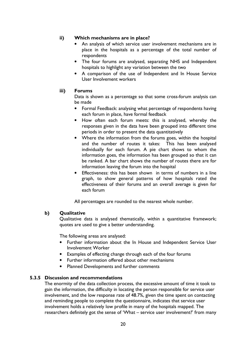#### ii) Which mechanisms are in place?

- An analysis of which service user involvement mechanisms are in place in the hospitals as a percentage of the total number of respondents
- The four forums are analysed, separating NHS and Independent hospitals to highlight any variation between the two
- A comparison of the use of Independent and In House Service User Involvement workers

#### iii) Forums

Data is shown as a percentage so that some cross-forum analysis can be made

- Formal Feedback: analysing what percentage of respondents having each forum in place, have formal feedback
- How often each forum meets: this is analysed, whereby the responses given in the data have been grouped into different time periods in order to present the data quantitatively
- Where the information from the forums goes, within the hospital and the number of routes it takes: This has been analysed individually for each forum. A pie chart shows to whom the information goes, the information has been grouped so that it can be ranked. A bar chart shows the number of routes there are for information leaving the forum into the hospital
- Effectiveness: this has been shown in terms of numbers in a line graph, to show general patterns of how hospitals rated the effectiveness of their forums and an overall average is given for each forum

All percentages are rounded to the nearest whole number.

#### b) Qualitative

Qualitative data is analysed thematically, within a quantitative framework; quotes are used to give a better understanding.

The following areas are analysed:

- Further information about the In House and Independent Service User Involvement Worker
- Examples of effecting change through each of the four forums
- Further information offered about other mechanisms
- Planned Developments and further comments

### 5.3.5 Discussion and recommendations

The enormity of the data collection process, the excessive amount of time it took to gain the information, the difficulty in locating the person responsible for service user involvement, and the low response rate of 48.7%, given the time spent on contacting and reminding people to complete the questionnaire, indicates that service user involvement holds a relatively low profile in many of the hospitals mapped. The researchers definitely got the sense of 'What – service user involvement?' from many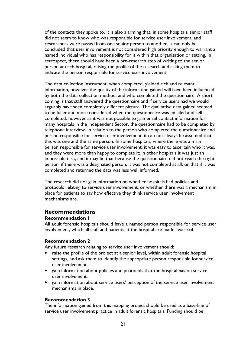of the contacts they spoke to. It is also alarming that, in some hospitals, senior staff did not seem to know who was responsible for service user involvement, and researchers were passed from one senior person to another. It can only be concluded that user involvement is not considered high priority enough to warrant a named individual who has responsibility for it within that organisation or setting. In retrospect, there should have been a pre-research step of writing to the senior person at each hospital, raising the profile of the research and asking them to indicate the person responsible for service user involvement.

The data collection instrument, when completed, yielded rich and relevant information, however the quality of the information gained will have been influenced by both the data collection method, and who completed the questionnaire. A short coming is that staff answered the questionnaire and if service users had we would arguably have seen completely different picture. The qualitative data gained seemed to be fuller and more considered when the questionnaire was emailed and selfcompleted, however as it was not possible to gain email contact information for many hospitals in the Independent Sector, the questionnaire had to be completed by telephone interview. In relation to the person who completed the questionnaire and person responsible for service user involvement, it can not always be assumed that this was one and the same person. In some hospitals, where there was a main person responsible for service user involvement, it was easy to ascertain who it was, and they were more than happy to complete it; in other hospitals it was just an impossible task, and it may be that because the questionnaire did not reach the right person, if there was a designated person, it was not completed at all, or that if it was completed and returned the data was less well informed.

The research did not gain information on whether hospitals had policies and protocols relating to service user involvement, or whether there was a mechanism in place for patients to say how effective they think service user involvement mechanisms are.

# Recommendations

#### Recommendation 1

All adult forensic hospitals should have a named person responsible for service user involvement, which all staff and patients at the hospital are made aware of.

#### Recommendation 2

Any future research relating to service user involvement should:

- raise the profile of the project at a senior level, within adult forensic hospital settings, and ask them to identify the appropriate person responsible for service user involvement.
- gain information about policies and protocols that the hospital has on service user involvement.
- gain information about service users' perception of the service user involvement mechanisms in place.

#### Recommendation 3

The information gained from this mapping project should be used as a base-line of service user involvement practice in adult forensic hospitals. Funding should be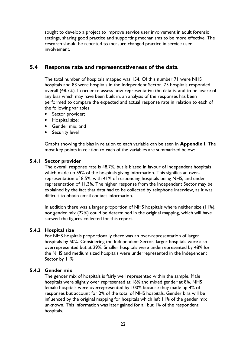sought to develop a project to improve service user involvement in adult forensic settings, sharing good practice and supporting mechanisms to be more effective. The research should be repeated to measure changed practice in service user involvement.

# 5.4 Response rate and representativeness of the data

The total number of hospitals mapped was 154. Of this number 71 were NHS hospitals and 83 were hospitals in the Independent Sector. 75 hospitals responded overall (48.7%). In order to assess how representative the data is, and to be aware of any bias which may have been built in, an analysis of the responses has been performed to compare the expected and actual response rate in relation to each of the following variables

- Sector provider;
- Hospital size;
- Gender mix; and
- Security level

Graphs showing the bias in relation to each variable can be seen in Appendix I. The most key points in relation to each of the variables are summarized below:

#### 5.4.1 Sector provider

The overall response rate is 48.7%, but is biased in favour of Independent hospitals which made up 59% of the hospitals giving information. This signifies an overrepresentation of 8.5%, with 41% of responding hospitals being NHS, and underrepresentation of 11.3%. The higher response from the Independent Sector may be explained by the fact that data had to be collected by telephone interview, as it was difficult to obtain email contact information.

In addition there was a larger proportion of NHS hospitals where neither size (11%), nor gender mix (22%) could be determined in the original mapping, which will have skewed the figures collected for this report.

#### 5.4.2 Hospital size

For NHS hospitals proportionally there was an over-representation of larger hospitals by 50%. Considering the Independent Sector, larger hospitals were also overrepresented but at 29%. Smaller hospitals were underrepresented by 48% for the NHS and medium sized hospitals were underrepresented in the Independent Sector by 11%

#### 5.4.3 Gender mix

The gender mix of hospitals is fairly well represented within the sample. Male hospitals were slightly over represented at 16% and mixed gender at 8%. NHS female hospitals were overrepresented by 100% because they made up 4% of responses but account for 2% of the total of NHS hospitals. Gender bias will be influenced by the original mapping for hospitals which left 11% of the gender mix unknown. This information was later gained for all but 1% of the respondent hospitals.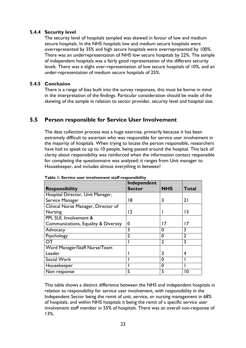#### 5.4.4 Security level

The security level of hospitals sampled was skewed in favour of low and medium secure hospitals. In the NHS hospitals low and medium secure hospitals were overrepresented by 35% and high secure hospitals were overrepresented by 100%. There was an underrepresentation of NHS low secure hospitals by 22%. The sample of independent hospitals was a fairly good representation of the different security levels. There was a slight over-representation of low secure hospitals of 10%, and an under-representation of medium secure hospitals of 25%.

#### 5.4.5 Conclusion

There is a range of bias built into the survey responses, this must be borne in mind in the interpretation of the findings. Particular consideration should be made of the skewing of the sample in relation to sector provider, security level and hospital size.

## 5.5 Person responsible for Service User Involvement

The data collection process was a huge exercise, primarily because it has been extremely difficult to ascertain who was responsible for service user involvement in the majority of hospitals. When trying to locate the person responsible, researchers have had to speak to up to 10 people, being passed around the hospital. This lack of clarity about responsibility was reinforced when the information contact responsible for completing the questionnaire was analysed; it ranges from Unit manager to Housekeeper, and includes almost everything in between!

|                                      | Independent    |                |                 |
|--------------------------------------|----------------|----------------|-----------------|
| <b>Responsibility</b>                | <b>Sector</b>  | <b>NHS</b>     | <b>Total</b>    |
| Hospital Director, Unit Manager,     |                |                |                 |
| Service Manager                      | 18             | 3              | 21              |
| Clínical Nurse Manager, Director of  |                |                |                 |
| <b>Nursing</b>                       | $\overline{2}$ |                | $\overline{13}$ |
| PPI, SUI, Involvement &              |                |                |                 |
| Communications, Equality & Diversity | 0              | 17             | 17              |
| Advocacy                             | 3              | 0              | 3               |
| Psychology                           | $\overline{2}$ | 0              | 2               |
| OΤ                                   |                | $\overline{2}$ | 3               |
| Ward Manager/Staff Nurse/Team        |                |                |                 |
| Leader                               |                | 3              | 4               |
| Social Work                          |                | 0              |                 |
| Housekeeper                          |                | 0              |                 |
| Non response                         | 5              | 5              | ا 0             |

Table 1: Service user involvement staff responsibility

This table shows a distinct difference between the NHS and independent hospitals in relation to responsibility for service user involvement, with responsibility in the Independent Sector being the remit of unit, service, or nursing management in 68% of hospitals, and within NHS hospitals it being the remit of a specific service user involvement staff member in 55% of hospitals. There was an overall non-response of 13%.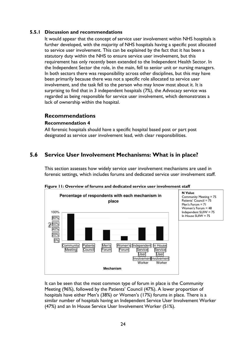#### 5.5.1 Discussion and recommendations

It would appear that the concept of service user involvement within NHS hospitals is further developed, with the majority of NHS hospitals having a specific post allocated to service user involvement. This can be explained by the fact that it has been a statutory duty within the NHS to ensure service user involvement, but this requirement has only recently been extended to the Independent Health Sector. In the Independent Sector the role, in the main, fell to senior unit or nursing managers. In both sectors there was responsibility across other disciplines, but this may have been primarily because there was not a specific role allocated to service user involvement, and the task fell to the person who may know most about it. It is surprising to find that in 3 independent hospitals (7%), the Advocacy service was regarded as being responsible for service user involvement, which demonstrates a lack of ownership within the hospital.

### Recommendations

#### Recommendation 4

All forensic hospitals should have a specific hospital based post or part post designated as service user involvement lead, with clear responsibilities.

# 5.6 Service User Involvement Mechanisms: What is in place?

This section assesses how widely service user involvement mechanisms are used in forensic settings, which includes forums and dedicated service user involvement staff.



Figure 11: Overview of forums and dedicated service user involvement staff

It can be seen that the most common type of forum in place is the Community Meeting (96%), followed by the Patients' Council (47%). A lower proportion of hospitals have either Men's (38%) or Women's (17%) forums in place. There is a similar number of hospitals having an Independent Service User Involvement Worker (47%) and an In House Service User Involvement Worker (51%).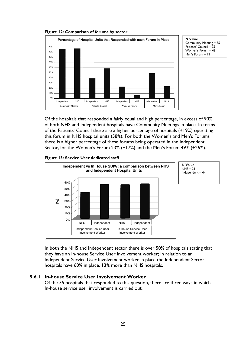Figure 12: Comparison of forums by sector



N Value Community Meeting = 75 Patients' Council = 75 Women's Forum = 48 Men's Forum = 71

Of the hospitals that responded a fairly equal and high percentage, in excess of 90%, of both NHS and Independent hospitals have Community Meetings in place. In terms of the Patients' Council there are a higher percentage of hospitals (+19%) operating this forum in NHS hospital units (58%). For both the Women's and Men's Forums there is a higher percentage of these forums being operated in the Independent Sector, for the Women's Forum 23% (+17%) and the Men's Forum 49% (+26%).

#### Figure 13: Service User dedicated staff



In both the NHS and Independent sector there is over 50% of hospitals stating that they have an In-house Service User Involvement worker; in relation to an Independent Service User Involvement worker in place the Independent Sector hospitals have 60% in place, 13% more than NHS hospitals.

#### 5.6.1 In-house Service User Involvement Worker

Of the 35 hospitals that responded to this question, there are three ways in which In-house service user involvement is carried out.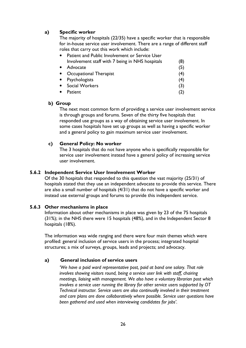#### a) Specific worker

The majority of hospitals (22/35) have a specific worker that is responsible for in-house service user involvement. There are a range of different staff roles that carry out this work which include:

| $\bullet$ | Patient and Public Involvement or Service User  |     |
|-----------|-------------------------------------------------|-----|
|           | Involvement staff with 7 being in NHS hospitals | (8) |
| $\bullet$ | Advocate                                        | (5) |
|           | • Occupational Therapist                        | (4) |
| $\bullet$ | Psychologists                                   | (4) |
|           | • Social Workers                                | (3) |
| $\bullet$ | Patient                                         | (2) |
|           |                                                 |     |

#### b) Group

The next most common form of providing a service user involvement service is through groups and forums. Seven of the thirty five hospitals that responded use groups as a way of obtaining service user involvement. In some cases hospitals have set up groups as well as having a specific worker and a general policy to gain maximum service user involvement.

#### c) General Policy: No worker

The 3 hospitals that do not have anyone who is specifically responsible for service user involvement instead have a general policy of increasing service user involvement.

#### 5.6.2 Independent Service User Involvement Worker

Of the 30 hospitals that responded to this question the vast majority (25/31) of hospitals stated that they use an independent advocate to provide this service. There are also a small number of hospitals (4/31) that do not have a specific worker and instead use external groups and forums to provide this independent service.

#### 5.6.3 Other mechanisms in place

Information about other mechanisms in place was given by 23 of the 75 hospitals (31%); in the NHS there were 15 hospitals (48%), and in the Independent Sector 8 hospitals (18%).

The information was wide ranging and there were four main themes which were profiled: general inclusion of service users in the process; integrated hospital structures; a mix of surveys, groups, leads and projects; and advocacy.

#### a) General inclusion of service users

 'We have a paid ward representative post, paid at band one salary. That role involves showing visitors round, being a service user link with staff, chairing meetings, liaising with management. We also have a voluntary librarian post which involves a service user running the library for other service users supported by OT Technical instructor. Service users are also continually involved in their treatment and care plans are done collaboratively where possible. Service user questions have been gathered and used when interviewing candidates for jobs'.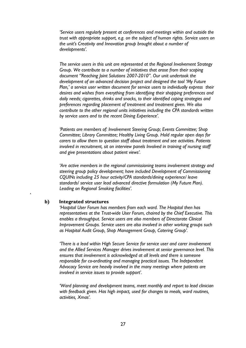'Service users regularly present at conferences and meetings within and outside the trust with appropriate support, e.g. on the subject of human rights. Service users on the unit's Creativity and Innovation group brought about a number of developments'.

 The service users in this unit are represented at the Regional Involvement Strategy Group. We contribute to a number of initiatives that arose from their scoping document "Reaching Joint Solutions 2007-2010". Our unit undertook the development of an advanced decision project and designed the tool 'My Future Plan,' a service user written document for service users to individually express their desires and wishes from everything from identifying their shopping preferences and daily needs; cigarettes, drinks and snacks, to their identified coping strategies and preferences regarding placement of treatment and treatment given. We also contribute to the other regional units initiatives including the CPA standards written by service users and to the recent Dining Experience'.

 'Patients are members of: Involvement Steering Group; Events Committee; Shop Committee; Library Committee; Healthy Living Group. Hold regular open days for carers to allow them to question staff about treatment and see activities. Patients involved in recruitment, sit on interview panels Involved in training of nursing staff and give presentations about patient views'.

 'Are active members in the regional commissioning teams involvement strategy and steering group policy development; have included Development of Commissioning CQUINs including 25 hour activity/CPA standards/dining experience/ leave standards/ service user lead advanced directive formulation (My Future Plan). Leading on Regional Smoking facilities'.

#### b) Integrated structures

'

'Hospital User Forum has members from each ward. The Hospital then has representatives at the Trust-wide User Forum, chaired by the Chief Executive. This enables a throughput. Service users are also members of Directorate Clinical Improvement Groups. Service users are also involved in other working groups such as Hospital Audit Group, Shop Management Group, Catering Group'.

 'There is a lead within High Secure Service for service user and carer involvement and the Allied Services Manager drives involvement at senior governance level. This ensures that involvement is acknowledged at all levels and there is someone responsible for co-ordinating and managing practical issues. The Independent Advocacy Service are heavily involved in the many meetings where patients are involved in service issues to provide support'.

 'Ward planning and development teams, meet monthly and report to lead clinician with feedback given. Has high impact, used for changes to meals, ward routines, activities, Xmas'.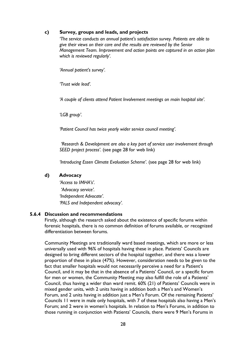#### c) Survey, groups and leads, and projects

'The service conducts an annual patient's satisfaction survey. Patients are able to give their views on their care and the results are reviewed by the Senior Management Team. Improvement and action points are captured in an action plan which is reviewed regularly'.

'Annual patient's survey'.

'Trust wide lead'.

'A couple of clients attend Patient Involvement meetings on main hospital site'.

'LGB group'.

'Patient Council has twice yearly wider service council meeting'.

 'Research & Development are also a key part of service user involvement through SEED project process'. (see page 28 for web link)

'Introducing Essen Climate Evaluation Scheme'. (see page 28 for web link)

#### d) Advocacy

 'Access to IMHA's'. 'Advocacy service'. 'Independent Advocate'. 'PALS and Independent advocacy'.

#### 5.6.4 Discussion and recommendations

Firstly, although the research asked about the existence of specific forums within forensic hospitals, there is no common definition of forums available, or recognized differentiation between forums.

Community Meetings are traditionally ward based meetings, which are more or less universally used with 96% of hospitals having these in place. Patients' Councils are designed to bring different sectors of the hospital together, and there was a lower proportion of these in place (47%). However, consideration needs to be given to the fact that smaller hospitals would not necessarily perceive a need for a Patient's Council, and it may be that in the absence of a Patients' Council, or a specific forum for men or women, the Community Meeting may also fulfill the role of a Patients' Council, thus having a wider than ward remit. 60% (21) of Patients' Councils were in mixed gender units, with 2 units having in addition both a Men's and Women's Forum, and 2 units having in addition just a Men's Forum. Of the remaining Patients' Councils 11 were in male only hospitals, with 7 of these hospitals also having a Men's Forum; and 2 were in women's hospitals. In relation to Men's Forums, in addition to those running in conjunction with Patients' Councils, there were 9 Men's Forums in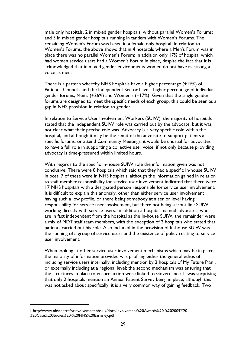male only hospitals, 2 in mixed gender hospitals, without parallel Women's Forums; and 5 in mixed gender hospitals running in tandem with Women's Forums. The remaining Women's Forum was based in a female only hospital. In relation to Women's Forums, the above shows that in 4 hospitals where a Men's Forum was in place there was no parallel Women's Forum; in addition only 17% of hospital which had women service users had a Women's Forum in place, despite the fact that it is acknowledged that in mixed gender environments women do not have as strong a voice as men.

There is a pattern whereby NHS hospitals have a higher percentage (+19%) of Patients' Councils and the Independent Sector have a higher percentage of individual gender forums, Men's (+26%) and Women's (+17%) Given that the single gender forums are designed to meet the specific needs of each group, this could be seen as a gap in NHS provision in relation to gender.

In relation to Service User Involvement Workers (SUIW), the majority of hospitals stated that the Independent SUIW role was carried out by the advocate, but it was not clear what their precise role was. Advocacy is a very specific role within the hospital, and although it may be the remit of the advocate to support patients at specific forums, or attend Community Meetings, it would be unusual for advocates to have a full role in supporting a collective user voice; if not only because providing advocacy is time-pressured within limited hours.

With regards to the specific In-house SUIW role the information given was not conclusive. There were 8 hospitals which said that they had a specific In-house SUIW in post, 7 of these were in NHS hospitals, although the information gained in relation to staff member responsibility for service user involvement indicated that there were 17 NHS hospitals with a designated person responsible for service user involvement. It is difficult to explain this anomaly, other than either service user involvement having such a low profile, or there being somebody at a senior level having responsibility for service user involvement, but there not being a front line SUIW working directly with service users. In addition 5 hospitals named advocates, who are in fact independent from the hospital as the In-house SUIW, the remainder were a mix of MDT staff team members, with the exception of 2 hospitals who stated that patients carried out his role. Also included in the provision of In-house SUIW was the running of a group of service users and the existence of policy relating to service user involvement.

 When looking at other service user involvement mechanisms which may be in place, the majority of information provided was profiling either the general ethos of including service users internally, including mention by 2 hospitals of My Future Plan $^{\mathsf{I}},$ or externally including at a regional level; the second mechanism was ensuring that the structures in place to ensure action were linked to Governance. It was surprising that only 2 hospitals mention an Annual Patient Survey being in place, although this was not asked about specifically, it is a very common way of gaining feedback. Two

<sup>1</sup> http://www.nhscentreforinvolvement.nhs.uk/docs/Involvement%20Awards%20-%202009%20- %20Case%20Studies%20-%20NHS%20Barnsley.pdf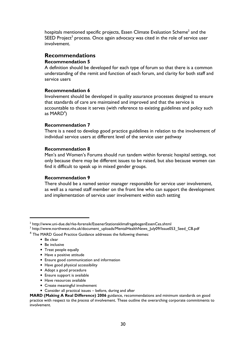hospitals mentioned specific projects, Essen Climate Evaluation Scheme $^2$  and the SEED Project $^3$  process. Once again advocacy was cited in the role of service user involvement.

### Recommendations

#### Recommendation 5

A definition should be developed for each type of forum so that there is a common understanding of the remit and function of each forum, and clarity for both staff and service users

#### Recommendation 6

Involvement should be developed in quality assurance processes designed to ensure that standards of care are maintained and improved and that the service is accountable to those it serves (with reference to existing guidelines and policy such as MARD $^4$ )

#### Recommendation 7

There is a need to develop good practice guidelines in relation to the involvement of individual service users at different level of the service user pathway

#### Recommendation 8

Men's and Women's Forums should run tandem within forensic hospital settings, not only because there may be different issues to be raised, but also because women can find it difficult to speak up in mixed gender groups.

#### Recommendation 9

There should be a named senior manager responsible for service user involvement, as well as a named staff member on the front line who can support the development and implementation of service user involvement within each setting

• Be clear

l

- Be inclusive
- Treat people equally
- Have a positive attitude
- Ensure good communication and information
- Have good physical accessibility
- Adopt a good procedure
- Ensure support is available
- Have resources available
- Create meaningful involvement
- Consider all practical issues before, during and after

MARD (Making A Real Difference) 2006 guidance, recommendations and minimum standards on good practice with respect to the process of involvement. These outline the overarching corporate commitments to involvement.

 $^{\rm 2}$  http://www.uni-due.de/rke-forensik/EssenerStationsklimafragebogenEssenCes.shtml

<sup>&</sup>lt;sup>3</sup> http://www.northwest.nhs.uk/document\_uploads/MentalHealthNews\_July09/Issue053\_Seed\_CB.pdf

<sup>&</sup>lt;sup>4</sup> The MARD Good Practice Guidance addresses the following themes: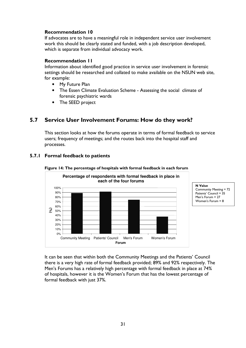#### Recommendation 10

If advocates are to have a meaningful role in independent service user involvement work this should be clearly stated and funded, with a job description developed, which is separate from individual advocacy work.

#### Recommendation 11

Information about identified good practice in service user involvement in forensic settings should be researched and collated to make available on the NSUN web site, for example:

- My Future Plan
- The Essen Climate Evaluation Scheme Assessing the social climate of forensic psychiatric wards
- The SEED project

# 5.7 Service User Involvement Forums: How do they work?

This section looks at how the forums operate in terms of formal feedback to service users; frequency of meetings; and the routes back into the hospital staff and processes.



#### 5.7.1 Formal feedback to patients

Figure 14: The percentage of hospitals with formal feedback in each forum

It can be seen that within both the Community Meetings and the Patients' Council there is a very high rate of formal feedback provided; 89% and 92% respectively. The Men's Forums has a relatively high percentage with formal feedback in place at 74% of hospitals, however it is the Women's Forum that has the lowest percentage of formal feedback with just 37%.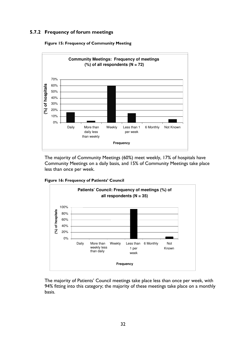### 5.7.2 Frequency of forum meetings





The majority of Community Meetings (60%) meet weekly, 17% of hospitals have Community Meetings on a daily basis, and 15% of Community Meetings take place less than once per week.

Figure 16: Frequency of Patients' Council



The majority of Patients' Council meetings take place less than once per week, with 94% fitting into this category; the majority of these meetings take place on a monthly basis.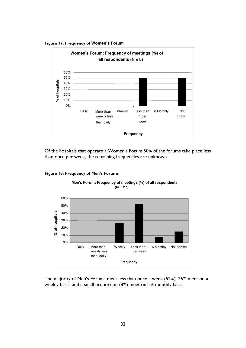Figure 17: Frequency of **Women's Forum** 



Of the hospitals that operate a Women's Forum 50% of the forums take place less than once per week, the remaining frequencies are unknown

Figure 18: Frequency of Men's Forums



The majority of Men's Forums meet less than once a week (52%), 26% meet on a weekly basis, and a small proportion (8%) meet on a 6 monthly basis.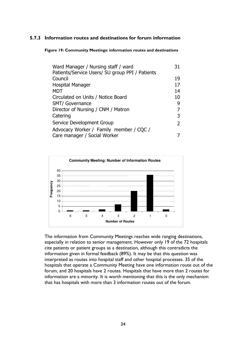## 5.7.3 Information routes and destinations for forum information

Figure 19: Community Meetings: information routes and destinations

| Ward Manager / Nursing staff / ward             | 31 |
|-------------------------------------------------|----|
| Patients/Service Users/ SU group PPI / Patients |    |
| Council                                         | 19 |
| Hospital Manager                                | 17 |
| <b>MDT</b>                                      | 14 |
| Circulated on Units / Notice Board              | 10 |
| <b>SMT/ Governance</b>                          | 9  |
| Director of Nursing / CNM / Matron              |    |
| Catering                                        | 3  |
| Service Development Group                       | 2  |
| Advocacy Worker / Family member / CQC /         |    |
| Care manager / Social Worker                    |    |



The information from Community Meetings reaches wide ranging destinations, especially in relation to senior management. However only 19 of the 72 hospitals cite patients or patient groups as a destination, although this contradicts the information given in formal feedback (89%). It may be that this question was interpreted as routes into hospital staff and other hospital processes. 35 of the hospitals that operate a Community Meeting have one information route out of the forum, and 20 hospitals have 2 routes. Hospitals that have more than 2 routes for information are a minority. It is worth mentioning that this is the only mechanism that has hospitals with more than 3 information routes out of the forum.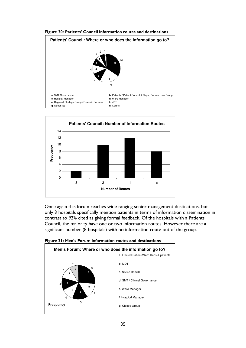



Once again this forum reaches wide ranging senior management destinations, but only 3 hospitals specifically mention patients in terms of information dissemination in contrast to 92% cited as giving formal feedback. Of the hospitals with a Patients' Council, the majority have one or two information routes. However there are a significant number (8 hospitals) with no information route out of the group.



Figure 21: Men's Forum information routes and destinations

#### Figure 20: Patients' Council information routes and destinations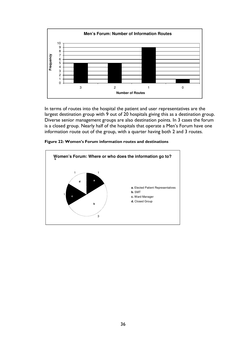

In terms of routes into the hospital the patient and user representatives are the largest destination group with 9 out of 20 hospitals giving this as a destination group. Diverse senior management groups are also destination points. In 3 cases the forum is a closed group. Nearly half of the hospitals that operate a Men's Forum have one information route out of the group, with a quarter having both 2 and 3 routes.



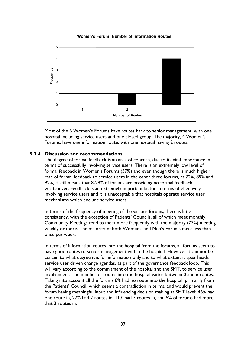

Most of the 6 Women's Forums have routes back to senior management, with one hospital including service users and one closed group. The majority, 4 Women's Forums, have one information route, with one hospital having 2 routes.

### 5.7.4 Discussion and recommendations

The degree of formal feedback is an area of concern, due to its vital importance in terms of successfully involving service users. There is an extremely low level of formal feedback in Women's Forums (37%) and even though there is much higher rate of formal feedback to service users in the other three forums, at 72%, 89% and 92%, it still means that 8-28% of forums are providing no formal feedback whatsoever. Feedback is an extremely important factor in terms of effectively involving service users and it is unacceptable that hospitals operate service user mechanisms which exclude service users.

In terms of the frequency of meeting of the various forums, there is little consistency, with the exception of Patients' Councils, all of which meet monthly. Community Meetings tend to meet more frequently with the majority (77%) meeting weekly or more. The majority of both Women's and Men's Forums meet less than once per week.

In terms of information routes into the hospital from the forums, all forums seem to have good routes to senior management within the hospital. However it can not be certain to what degree it is for information only and to what extent it spearheads service user driven change agendas, as part of the governance feedback loop. This will vary according to the commitment of the hospital and the SMT, to service user involvement. The number of routes into the hospital varies between 0 and 6 routes. Taking into account all the forums 8% had no route into the hospital, primarily from the Patients' Council, which seems a contradiction in terms, and would prevent the forum having meaningful input and influencing decision making at SMT level; 46% had one route in, 27% had 2 routes in, 11% had 3 routes in, and 5% of forums had more that 3 routes in.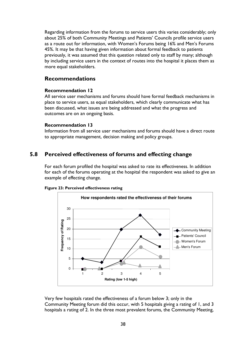Regarding information from the forums to service users this varies considerably; only about 25% of both Community Meetings and Patients' Councils profile service users as a route out for information, with Women's Forums being 16% and Men's Forums 45%. It may be that having given information about formal feedback to patients previously, it was assumed that this question related only to staff by many; although by including service users in the context of routes into the hospital it places them as more equal stakeholders.

## Recommendations

## Recommendation 12

All service user mechanisms and forums should have formal feedback mechanisms in place to service users, as equal stakeholders, which clearly communicate what has been discussed, what issues are being addressed and what the progress and outcomes are on an ongoing basis.

### Recommendation 13

Information from all service user mechanisms and forums should have a direct route to appropriate management, decision making and policy groups.

## 5.8 Perceived effectiveness of forums and effecting change

For each forum profiled the hospital was asked to rate its effectiveness. In addition for each of the forums operating at the hospital the respondent was asked to give an example of effecting change.



Figure 23: Perceived effectiveness rating

Very few hospitals rated the effectiveness of a forum below 3; only in the Community Meeting forum did this occur, with 5 hospitals giving a rating of 1, and 3 hospitals a rating of 2. In the three most prevalent forums, the Community Meeting,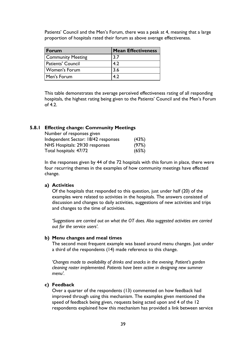Patients' Council and the Men's Forum, there was a peak at 4, meaning that a large proportion of hospitals rated their forum as above average effectiveness.

| Forum                    | <b>Mean Effectiveness</b> |
|--------------------------|---------------------------|
| <b>Community Meeting</b> | 3.7                       |
| <b>Patients' Council</b> | 4.2                       |
| <b>Women's Forum</b>     | 3.6                       |
| Men's Forum              |                           |

This table demonstrates the average perceived effectiveness rating of all responding hospitals, the highest rating being given to the Patients' Council and the Men's Forum of  $4.2<sub>1</sub>$ 

## 5.8.1 Effecting change: Community Meetings

| Number of responses given           |       |
|-------------------------------------|-------|
| Independent Sector: 18/42 responses | (43%) |
| NHS Hospitals: 29/30 responses      | (97%) |
| Total hospitals: 47/72              | (65%) |

In the responses given by 44 of the 72 hospitals with this forum in place, there were four recurring themes in the examples of how community meetings have effected change.

### a) Activities

Of the hospitals that responded to this question, just under half (20) of the examples were related to activities in the hospitals. The answers consisted of discussion and changes to daily activities, suggestions of new activities and trips and changes to the time of activities.

'Suggestions are carried out on what the OT does. Also suggested activities are carried out for the service users'.

#### b) Menu changes and meal times

The second most frequent example was based around menu changes. Just under a third of the respondents (14) made reference to this change.

'Changes made to availability of drinks and snacks in the evening. Patient's garden cleaning roster implemented. Patients have been active in designing new summer menu'.

#### c) Feedback

Over a quarter of the respondents (13) commented on how feedback had improved through using this mechanism. The examples given mentioned the speed of feedback being given, requests being acted upon and 4 of the 12 respondents explained how this mechanism has provided a link between service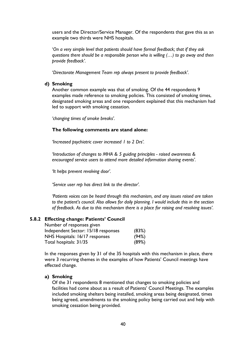users and the Director/Service Manager. Of the respondents that gave this as an example two thirds were NHS hospitals.

'On a very simple level that patients should have formal feedback; that if they ask questions there should be a responsible person who is willing  $(...)$  to go away and then provide feedback'.

'Directorate Management Team rep always present to provide feedback'.

## d) Smoking

Another common example was that of smoking. Of the 44 respondents 9 examples made reference to smoking policies. This consisted of smoking times, designated smoking areas and one respondent explained that this mechanism had led to support with smoking cessation.

'changing times of smoke breaks'.

### The following comments are stand alone:

'Increased psychiatric cover increased 1 to 2 Drs'.

'Introduction of changes to MHA & 5 guiding principles - raised awareness & encouraged service users to attend more detailed information sharing events'.

'It helps prevent revolving door'.

'Service user rep has direct link to the director'.

'Patients voices can be heard through this mechanism, and any issues raised are taken to the patient's council. Also allows for daily planning. I would include this in the section of feedback. As due to this mechanism there is a place for raising and resolving issues'.

### 5.8.2 Effecting change: Patients' Council

| Number of responses given           |       |
|-------------------------------------|-------|
| Independent Sector: 15/18 responses | (83%) |
| NHS Hospitals: 16/17 responses      | (94%) |
| Total hospitals: 31/35              | (89%) |

In the responses given by 31 of the 35 hospitals with this mechanism in place, there were 3 recurring themes in the examples of how Patients' Council meetings have effected change.

### a) Smoking

Of the 31 respondents 8 mentioned that changes to smoking policies and facilities had come about as a result of Patients' Council Meetings. The examples included smoking shelters being installed, smoking areas being designated, times being agreed, amendments to the smoking policy being carried out and help with smoking cessation being provided.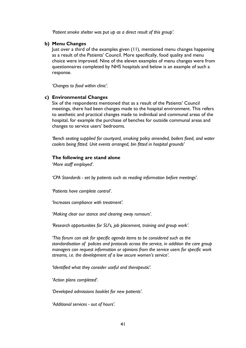'Patient smoke shelter was put up as a direct result of this group'.

### b) Menu Changes

Just over a third of the examples given (11), mentioned menu changes happening as a result of the Patients' Council. More specifically, food quality and menu choice were improved. Nine of the eleven examples of menu changes were from questionnaires completed by NHS hospitals and below is an example of such a response.

'Changes to food within clinic'.

#### c) Environmental Changes

Six of the respondents mentioned that as a result of the Patients' Council meetings, there had been changes made to the hospital environment. This refers to aesthetic and practical changes made to individual and communal areas of the hospital, for example the purchase of benches for outside communal areas and changes to service users' bedrooms.

 'Bench seating supplied for courtyard, smoking policy amended, boilers fixed, and water coolers being fitted. Unit events arranged, bin fitted in hospital grounds'

#### The following are stand alone

'More staff employed'.

'CPA Standards - set by patients such as reading information before meetings'.

'Patients have complete control'.

'Increases compliance with treatment'.

'Making clear our stance and clearing away rumours'.

'Research opportunities for SU's, job placement, training and group work'.

 'This forum can ask for specific agenda items to be considered such as the standardisation of policies and protocols across the service, in addition the care group managers can request information or opinions from the service users for specific work streams, i.e. the development of a low secure women's service'.

'Identified what they consider useful and therapeutic'.

'Action plans completed'.

'Developed admissions booklet for new patients'.

'Additional services - out of hours'.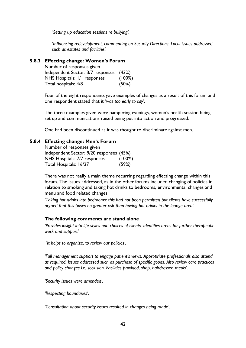'Setting up education sessions re bullying'.

'Influencing redevelopment, commenting on Security Directions. Local issues addressed such as estates and facilities'.

### 5.8.3 Effecting change: Women's Forum

| Number of responses given               |        |
|-----------------------------------------|--------|
| Independent Sector: 3/7 responses (43%) |        |
| NHS Hospitals: 1/1 responses            | (100%) |
| Total hospitals: 4/8                    | (50%)  |

Four of the eight respondents gave examples of changes as a result of this forum and one respondent stated that it 'was too early to say'.

The three examples given were pampering evenings, women's health session being set up and communications raised being put into action and progressed.

One had been discontinued as it was thought to discriminate against men.

## 5.8.4 Effecting change: Men's Forum

| Number of responses given                |        |
|------------------------------------------|--------|
| Independent Sector: 9/20 responses (45%) |        |
| NHS Hospitals: 7/7 responses             | (100%) |
| Total Hospitals: 16/27                   | (59%)  |

There was not really a main theme recurring regarding effecting change within this forum. The issues addressed, as in the other forums included changing of policies in relation to smoking and taking hot drinks to bedrooms, environmental changes and menu and food related changes.

'Taking hot drinks into bedrooms: this had not been permitted but clients have successfully argued that this poses no greater risk than having hot drinks in the lounge area'.

### The following comments are stand alone

'Provides insight into life styles and choices of clients. Identifies areas for further therapeutic work and support'.

'It helps to organize, to review our policies'.

'Full management support to engage patient's views. Appropriate professionals also attend as required. Issues addressed such as purchase of specific goods. Also review care practices and policy changes i.e. seclusion. Facilities provided, shop, hairdresser, meals'.

'Security issues were amended'.

'Respecting boundaries'.

'Consultation about security issues resulted in changes being made'.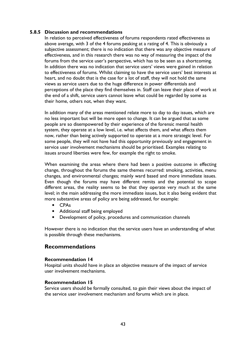## 5.8.5 Discussion and recommendations

In relation to perceived effectiveness of forums respondents rated effectiveness as above average, with 3 of the 4 forums peaking at a rating of 4. This is obviously a subjective assessment; there is no indication that there was any objective measure of effectiveness, and in this research there was no way of measuring the impact of the forums from the service user's perspective, which has to be seen as a shortcoming. In addition there was no indication that service users' views were gained in relation to effectiveness of forums. Whilst claiming to have the service users' best interests at heart, and no doubt that is the case for a lot of staff, they will not hold the same views as service users due to the huge difference in power differentials and perceptions of the place they find themselves in. Staff can leave their place of work at the end of a shift, service users cannot leave what could be regarded by some as their home, others not, when they want.

In addition many of the areas mentioned relate more to day to day issues, which are no less important but will be more open to change. It can be argued that as some people are so disempowered by their experience of the forensic mental health system, they operate at a low level, i.e. what affects them, and what affects them now, rather than being actively supported to operate at a more strategic level. For some people, they will not have had this opportunity previously and engagement in service user involvement mechanisms should be prioritised. Examples relating to issues around liberties were few, for example the right to smoke.

When examining the areas where there had been a positive outcome in effecting change, throughout the forums the same themes recurred: smoking, activities, menu changes, and environmental changes; mainly ward based and more immediate issues. Even though the forums may have different remits and the potential to scope different areas, the reality seems to be that they operate very much at the same level; in the main addressing the more immediate issues, but it also being evident that more substantive areas of policy are being addressed, for example:

- CPAs
- Additional staff being employed
- Development of policy, procedures and communication channels

However there is no indication that the service users have an understanding of what is possible through these mechanisms.

## Recommendations

### Recommendation 14

Hospital units should have in place an objective measure of the impact of service user involvement mechanisms.

### Recommendation 15

Service users should be formally consulted, to gain their views about the impact of the service user involvement mechanism and forums which are in place.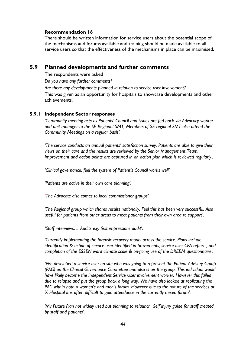## Recommendation 16

There should be written information for service users about the potential scope of the mechanisms and forums available and training should be made available to all service users so that the effectiveness of the mechanisms in place can be maximised.

## 5.9 Planned developments and further comments

The respondents were asked

Do you have any further comments?

 Are there any developments planned in relation to service user involvement? This was given as an opportunity for hospitals to showcase developments and other achievements.

## 5.9.1 Independent Sector responses

'Community meeting acts as Patients' Council and issues are fed back via Advocacy worker and unit manager to the SE Regional SMT, Members of SE regional SMT also attend the Community Meetings on a regular basis'.

'The service conducts an annual patients' satisfaction survey. Patients are able to give their views on their care and the results are reviewed by the Senior Management Team. Improvement and action points are captured in an action plan which is reviewed regularly'.

'Clinical governance, feel the system of Patient's Council works well'.

'Patients are active in their own care planning'.

'The Advocate also comes to local commissioner groups'.

'The Regional group which shares results nationally. Feel this has been very successful. Also useful for patients from other areas to meet patients from their own area re support'.

'Staff interviews… Audits e.g. first impressions audit'.

'Currently implementing the forensic recovery model across the service. Plans include identification & action of service user identified improvements, service user CPA reports, and completion of the ESSEN ward climate scale & on-going use of the DREEM questionnaire'.

'We developed a service user on site who was going to represent the Patient Advisory Group (PAG) on the Clinical Governance Committee and also chair the group. This individual would have likely become the Independent Service User involvement worker. However this failed due to relapse and put the group back a long way. We have also looked at replicating the PAG within both a women's and men's forum. However due to the nature of the services at X Hospital it is often difficult to gain attendance in the currently mixed forum'.

'My Future Plan not widely used but planning to relaunch, Self injury guide for staff created by staff and patients'.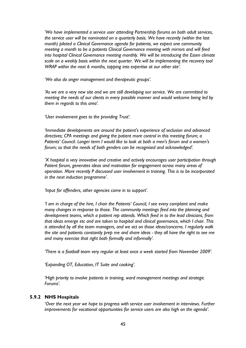'We have implemented a service user attending Partnership forums on both adult services, the service user will be nominated on a quarterly basis. We have recently (within the last month) piloted a Clinical Governance agenda for patients, we expect one community meeting a month to be a patients Clinical Governance meeting with mirrors and will feed into hospital Clinical Governance meeting monthly. We will be introducing the Essen climate scale on a weekly basis within the next quarter. We will be implementing the recovery tool WRAP within the next 6 months, tapping into expertise at our other site'.

'We also do anger management and therapeutic groups'.

'As we are a very new site and we are still developing our service. We are committed to meeting the needs of our clients in every possible manner and would welcome being led by them in regards to this area'.

'User involvement goes to the providing Trust'.

'Immediate developments are around the patient's experience of seclusion and advanced directives; CPA meetings and giving the patient more control in this meeting forum; a Patients' Council. Longer term I would like to look at both a men's forum and a women's forum; so that the needs of both genders can be recognised and acknowledged'.

'X hospital is very innovative and creative and actively encourages user participation through Patient forum, generates ideas and motivation for engagement across many areas of operation. More recently P discussed user involvement in training. This is to be incorporated in the next induction programme'.

'Input for offenders, other agencies come in to support'.

 'I am in charge of the hire, I chair the Patients' Council, I see every complaint and make many changes in response to those. The community meetings feed into the planning and development teams, which a patient rep attends. Which feed in to the lead clinicians, from that ideas emerge etc and are taken to hospital and clinical governance, which I chair. This is attended by all the team managers, and we act on those ideas/concerns. I regularly walk the site and patients constantly prep me and share ideas - they all have the right to see me and many exercise that right both formally and informally'.

'There is a football team very regular at least once a week started from November 2009'.

'Expanding OT, Education, IT Suite and cooking'.

 'High priority to involve patients in training, ward management meetings and strategic Forums'.

### 5.9.2 NHS Hospitals

 'Over the next year we hope to progress with service user involvement in interviews. Further improvements for vocational opportunities for service users are also high on the agenda'.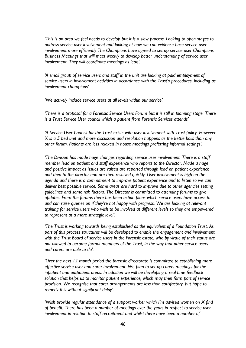'This is an area we feel needs to develop but it is a slow process. Looking to open stages to address service user involvement and looking at how we can evidence base service user involvement more efficiently The Champions have agreed to set up service user Champions Business Meetings that will meet weekly to develop better understanding of service user involvement. They will coordinate meetings as lead'.

 'A small group of service users and staff in the unit are looking at paid employment of service users in involvement activities in accordance with the Trust's procedures, including as involvement champions'.

'We actively include service users at all levels within our service'.

 'There is a proposal for a Forensic Service Users Forum but it is still in planning stage. There is a Trust Service User council which a patient from Forensic Services attends'.

 'A Service User Council for the Trust exists with user involvement with Trust policy. However X is a 5 bed unit and more discussion and resolution happens as the kettle boils than any other forum. Patients are less relaxed in house meetings preferring informal settings'.

 'The Division has made huge changes regarding service user involvement. There is a staff member lead on patient and staff experience who reports to the Director. Made a huge and positive impact as issues are raised are reported through lead on patient experience and then to the director and are then resolved quickly. User involvement is high on the agenda and there is a commitment to improve patient experience and to listen so we can deliver best possible service. Some areas are hard to improve due to other agencies setting guidelines and some risk factors. The Director is committed to attending forums to give updates. From the forums there has been action plans which service users have access to and can raise queries on if they're not happy with progress. We are looking at relevant training for service users who wish to be involved at different levels so they are empowered to represent at a more strategic level'.

'The Trust is working towards being established as the equivalent of a Foundation Trust. As part of this process structures will be developed to enable the engagement and involvement with the Trust Board of service users in the Forensic estate, who by virtue of their status are not allowed to become formal members of the Trust, in the way that other service users and carers are able to do'.

'Over the next 12 month period the forensic directorate is committed to establishing more effective service user and carer involvement. We plan to set up carers meetings for the inpatient and outpatient areas. In addition we will be developing a real-time feedback solution that helps us to monitor patient experience, which may then form part of service provision. We recognise that carer arrangements are less than satisfactory, but hope to remedy this without significant delay'.

'Wish provide regular attendance of a support worker which I'm advised women on X find of benefit. There has been a number of meetings over the years in respect to service user involvement in relation to staff recruitment and whilst there have been a number of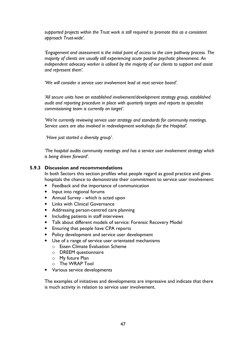supported projects within the Trust work is still required to promote this as a consistent approach Trust-wide'.

'Engagement and assessment is the initial point of access to the care pathway process. The majority of clients are usually still experiencing acute positive psychotic phenomena. An independent advocacy worker is utilised by the majority of our clients to support and assist and represent them'.

'We will consider a service user involvement lead at next service board'.

'All secure units have an established involvement/development strategy group, established audit and reporting procedure in place with quarterly targets and reports to specialist commissioning team is currently on target'.

'We're currently reviewing service user strategy and standards for community meetings. Service users are also involved in redevelopment workshops for the Hospital'.

'Have just started a diversity group'.

'The hospital audits community meetings and has a service user involvement strategy which is being driven forward'.

### 5.9.3 Discussion and recommendations

In both Sectors this section profiles what people regard as good practice and gives hospitals the chance to demonstrate their commitment to service user involvement:

- Feedback and the importance of communication
- Input into regional forums
- Annual Survey which is acted upon
- Links with Clinical Governance
- Addressing person-centred care planning
- Including patients in staff interviews
- Talk about different models of service: Forensic Recovery Model
- Ensuring that people have CPA reports
- Policy development and service user development
- Use of a range of service user orientated mechanisms
	- o Essen Climate Evaluation Scheme
	- o DREEM questionnaire
	- o My future Plan
	- o The WRAP Tool
- Various service developments

The examples of initiatives and developments are impressive and indicate that there is much activity in relation to service user involvement.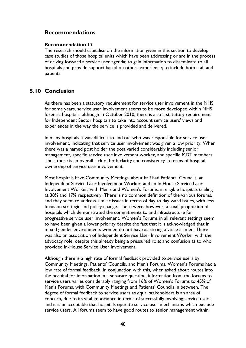## Recommendations

### Recommendation 17

The research should capitalise on the information given in this section to develop case studies of those hospital units which have been addressing or are in the process of driving forward a service user agenda; to gain information to disseminate to all hospitals and provide support based on others experience; to include both staff and patients.

## 5.10 Conclusion

As there has been a statutory requirement for service user involvement in the NHS for some years, service user involvement seems to be more developed within NHS forensic hospitals; although in October 2010, there is also a statutory requirement for Independent Sector hospitals to take into account service users' views and experiences in the way the service is provided and delivered.

In many hospitals it was difficult to find out who was responsible for service user involvement, indicating that service user involvement was given a low priority. When there was a named post holder the post varied considerably including senior management, specific service user involvement worker, and specific MDT members. Thus, there is an overall lack of both clarity and consistency in terms of hospital ownership of service user involvement.

Most hospitals have Community Meetings, about half had Patients' Councils, an Independent Service User Involvement Worker, and an In House Service User Involvement Worker; with Men's and Women's Forums, in eligible hospitals trailing at 38% and 17% respectively. There is no common definition of the various forums, and they seem to address similar issues in terms of day to day ward issues, with less focus on strategic and policy change. There were, however, a small proportion of hospitals which demonstrated the commitments to and infrastructure for progressive service user involvement. Women's Forums in all relevant settings seem to have been given a lower priority despite the fact that it is acknowledged that in mixed gender environments women do not have as strong a voice as men. There was also an association of Independent Service User Involvement Worker with the advocacy role, despite this already being a pressured role; and confusion as to who provided In-House Service User Involvement.

Although there is a high rate of formal feedback provided to service users by Community Meetings, Patients' Councils, and Men's Forums, Women's Forums had a low rate of formal feedback. In conjunction with this, when asked about routes into the hospital for information in a separate question, information from the forums to service users varies considerably ranging from 16% of Women's Forums to 45% of Men's Forums, with Community Meetings and Patients' Councils in between. The degree of formal feedback to service users as equal stakeholders is an area of concern, due to its vital importance in terms of successfully involving service users, and it is unacceptable that hospitals operate service user mechanisms which exclude service users. All forums seem to have good routes to senior management within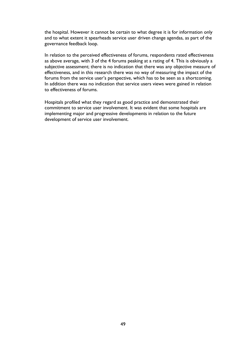the hospital. However it cannot be certain to what degree it is for information only and to what extent it spearheads service user driven change agendas, as part of the governance feedback loop.

In relation to the perceived effectiveness of forums, respondents rated effectiveness as above average, with 3 of the 4 forums peaking at a rating of 4. This is obviously a subjective assessment; there is no indication that there was any objective measure of effectiveness, and in this research there was no way of measuring the impact of the forums from the service user's perspective, which has to be seen as a shortcoming. In addition there was no indication that service users views were gained in relation to effectiveness of forums.

Hospitals profiled what they regard as good practice and demonstrated their commitment to service user involvement. It was evident that some hospitals are implementing major and progressive developments in relation to the future development of service user involvement.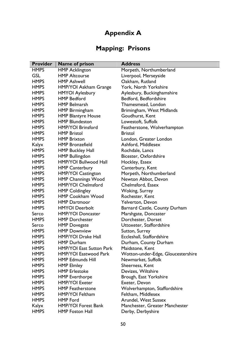# Appendix A

# Mapping: Prisons

| <b>Provider</b> | Name of prison                  | <b>Address</b>                     |
|-----------------|---------------------------------|------------------------------------|
| <b>HMPS</b>     | <b>HMP Acklington</b>           | Morpeth, Northumberland            |
| <b>GSL</b>      | <b>HMP Altcourse</b>            | Liverpool, Merseyside              |
| <b>HMPS</b>     | <b>HMP Ashwell</b>              | Oakham, Rutland                    |
| <b>HMPS</b>     | HMP/YOI Askham Grange           | York, North Yorkshire              |
| <b>HMPS</b>     | <b>HMYOI Aylesbury</b>          | Aylesbury, Buckinghamshire         |
| <b>HMPS</b>     | <b>HMP Bedford</b>              | Bedford, Bedfordshire              |
| <b>HMPS</b>     | <b>HMP Belmarsh</b>             | Thamesmead, London                 |
| <b>HMPS</b>     | HMP Birmingham                  | Brimingham, West Midlands          |
| <b>HMPS</b>     | <b>HMP Blantyre House</b>       | Goudhurst, Kent                    |
| <b>HMPS</b>     | <b>HMP Blundeston</b>           | Lowestoft, Suffolk                 |
| <b>HMPS</b>     | <b>HMP/YOI Brinsford</b>        | Featherstone, Wolverhampton        |
| <b>HMPS</b>     | <b>HMP Bristol</b>              | <b>Bristol</b>                     |
| <b>HMPS</b>     | <b>HMP Brixton</b>              | London, Greater London             |
| Kalyx           | <b>HMP Bronzefield</b>          | Ashford, Middlesex                 |
| <b>HMPS</b>     | <b>HMP Buckley Hall</b>         | Rochdale, Lancs                    |
| <b>HMPS</b>     | <b>HMP Bullingdon</b>           | Bicester, Oxfordshire              |
| <b>HMPS</b>     | <b>HMP/YOI Bullwood Hall</b>    | Hockley, Essex                     |
| <b>HMPS</b>     | <b>HMP Canterbury</b>           | Canterbury, Kent                   |
| <b>HMPS</b>     | <b>HMP/YOI Castington</b>       | Morpeth, Northumberland            |
| <b>HMPS</b>     | <b>HMP Channings Wood</b>       | Newton Abbot, Devon                |
| <b>HMPS</b>     | <b>HMP/YOI Chelmsford</b>       | Chelmsford, Essex                  |
| <b>HMPS</b>     | <b>HMP Coldingley</b>           | <b>Woking, Surrey</b>              |
| <b>HMPS</b>     | <b>HMP Cookham Wood</b>         | Rochester, Kent                    |
| <b>HMPS</b>     | <b>HMP Dartmoor</b>             | Yelverton, Devon                   |
| <b>HMPS</b>     | <b>HMYOI</b> Deerbolt           | Barnard Castle, County Durham      |
| Serco           | <b>HMP/YOI Doncaster</b>        | Marshgate, Doncaster               |
| <b>HMPS</b>     | <b>HMP Dorchester</b>           | Dorchester, Dorset                 |
| Serco           | <b>HMP</b> Dovegate             | Uttoxeter, Staffordshire           |
| <b>HMPS</b>     | <b>HMP Downview</b>             | Sutton, Surrey                     |
| <b>HMPS</b>     | <b>HMP/YOI Drake Hall</b>       | Eccleshall, Staffordshire          |
| <b>HMPS</b>     | <b>HMP</b> Durham               | Durham, County Durham              |
| <b>HMPS</b>     | <b>HMP/YOI East Sutton Park</b> | Maidstone, Kent                    |
| <b>HMPS</b>     | <b>HMP/YOI Eastwood Park</b>    | Wotton-under-Edge, Gloucestershire |
| <b>HMPS</b>     | <b>HMP Edmunds Hill</b>         | Newmarket, Suffolk                 |
| <b>HMPS</b>     | <b>HMP Elmley</b>               | Sheerness, Kent                    |
| <b>HMPS</b>     | <b>HMP</b> Erlestoke            | Devizes, Wiltshire                 |
| <b>HMPS</b>     | <b>HMP Everthorpe</b>           | Brough, East Yorkshire             |
| <b>HMPS</b>     | <b>HMP/YOI Exeter</b>           | Exeter, Devon                      |
| <b>HMPS</b>     | <b>HMP</b> Featherstone         | Wolverhampton, Staffordshire       |
| <b>HMPS</b>     | HMP/YOI Feltham                 | Feltham, Middlesex                 |
| <b>HMPS</b>     | <b>HMP Ford</b>                 | Arundel, West Sussex               |
| Kalyx           | <b>HMP/YOI Forest Bank</b>      | Manchester, Greater Manchester     |
| <b>HMPS</b>     | <b>HMP Foston Hall</b>          | Derby, Derbyshire                  |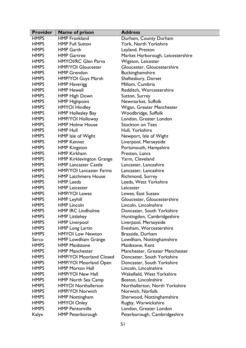| <b>Provider</b> | Name of prison                  | <b>Address</b>                    |
|-----------------|---------------------------------|-----------------------------------|
| <b>HMPS</b>     | <b>HMP</b> Frankland            | Durham, County Durham             |
| <b>HMPS</b>     | <b>HMP Full Sutton</b>          | York, North Yorkshire             |
| <b>HMPS</b>     | <b>HMP Garth</b>                | Leyland, Preston                  |
| <b>HMPS</b>     | <b>HMP Gartree</b>              | Market Harborough, Leicestershire |
| <b>HMPS</b>     | <b>HMYOI/RC Glen Parva</b>      | Wigston, Leicester                |
| <b>HMPS</b>     | <b>HMP/YOI Gloucester</b>       | Gloucester, Gloucestershire       |
| <b>HMPS</b>     | <b>HMP Grendon</b>              | Buckinghamshire                   |
| <b>HMPS</b>     | <b>HMP?YOI Guys Marsh</b>       | Shaftesbury, Dorset               |
| <b>HMPS</b>     | <b>HMP Haverigg</b>             | Millom, Cumbria                   |
| <b>HMPS</b>     | <b>HMP Hewell</b>               | Redditch, Worcestershire          |
| <b>HMPS</b>     | <b>HMP High Down</b>            | Sutton, Surrey                    |
| <b>HMPS</b>     | <b>HMP Highpoint</b>            | Newmarket, Suffolk                |
| <b>HMPS</b>     | <b>HMYOI Hindley</b>            | Wigan, Greater Manchester         |
| <b>HMPS</b>     | <b>HMP Hollesley Bay</b>        | Woodbridge, Suffolk               |
| <b>HMPS</b>     | <b>HMP/YOI Holloway</b>         | London, Greater London            |
| <b>HMPS</b>     | <b>HMP Holme House</b>          | <b>Stockton on Tees</b>           |
| <b>HMPS</b>     | <b>HMP Hull</b>                 | Hull, Yorkshire                   |
| <b>HMPS</b>     | HMP Isle of Wight               | Newport, Isle of Wight            |
| <b>HMPS</b>     | <b>HMP Kennet</b>               | Liverpool, Merseyside             |
| <b>HMPS</b>     | <b>HMP Kingston</b>             | Portsmouth, Hampshire             |
| <b>HMPS</b>     | <b>HMP Kirkham</b>              | Preston, Lancs                    |
| <b>HMPS</b>     | <b>HMP Kirklevington Grange</b> | Yarm, Cleveland                   |
| <b>HMPS</b>     | <b>HMP Lancaster Castle</b>     | Lancaster, Lancashire             |
| <b>HMPS</b>     | <b>HMP/YOI Lancaster Farms</b>  | Lancaster, Lancashire             |
| <b>HMPS</b>     | <b>HMP Latchmere House</b>      | Richmond, Surrey                  |
| <b>HMPS</b>     | <b>HMP</b> Leeds                | Leeds, West Yorkshire             |
| <b>HMPS</b>     | <b>HMP Leicester</b>            | Leicester                         |
| <b>HMPS</b>     | <b>HMP/YOI Lewes</b>            | Lewes, East Sussex                |
| <b>HMPS</b>     | <b>HMP Leyhill</b>              | Gloucester, Gloucestershire       |
| <b>HMPS</b>     | <b>HMP Lincoln</b>              | Lincoln, Lincolnshire             |
| <b>HMPS</b>     | <b>HMP IRC Lindholme</b>        | Doncaster, South Yorkshire        |
| <b>HMPS</b>     | <b>HMP Littlehey</b>            | Huntingdon, Cambridgeshire        |
| <b>HMPS</b>     | <b>HMP Liverpool</b>            | Liverpool, Merseyside             |
| <b>HMPS</b>     | <b>HMP</b> Long Lartin          | Evesham, Worcestershire           |
| <b>HMPS</b>     | <b>HMYOI Low Newton</b>         | Brasside, Durham                  |
| Serco           | <b>HMP Lowdham Grange</b>       | Lowdham, Nottinghamshire          |
| <b>HMPS</b>     | <b>HMP Maidstone</b>            | Maidstone, Kent                   |
| <b>HMPS</b>     | <b>HMP Manchester</b>           | Manchester, Greater Manchester    |
| <b>HMPS</b>     | <b>HMP/YOI Moorland Closed</b>  | Doncaster, South Yorkshire        |
| <b>HMPS</b>     | <b>HMP/YOI Moorland Open</b>    | Doncaster, South Yorkshire        |
| <b>HMPS</b>     | <b>HMP Morton Hall</b>          | Lincoln, Lincolnshire             |
| <b>HMPS</b>     | <b>HMP/YOI New Hall</b>         | Wakefield, West Yorkshire         |
| <b>HMPS</b>     | <b>HMP North Sea Camp</b>       | Boston, Lincolnshire              |
| <b>HMPS</b>     | <b>HMYOI Northallerton</b>      | Northallerton, North Yorkshire    |
| <b>HMPS</b>     | <b>HMP/YOI Norwich</b>          | Norwich, Norfolk                  |
| <b>HMPS</b>     | <b>HMP</b> Nottingham           | Sherwood, Nottinghamshire         |
| <b>HMPS</b>     | <b>HMYOI Onley</b>              | Rugby, Warwickshire               |
| <b>HMPS</b>     | <b>HMP Pentonville</b>          | London, Greater London            |
| Kalyx           | <b>HMP Peterborough</b>         | Peterborough, Cambridgeshire      |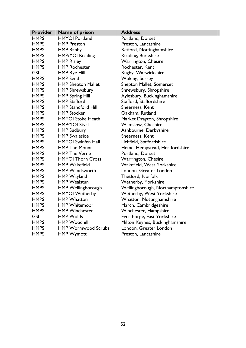| <b>Provider</b> | Name of prison             | <b>Address</b>                   |
|-----------------|----------------------------|----------------------------------|
| <b>HMPS</b>     | <b>HMYOI Portland</b>      | Portland, Dorset                 |
| <b>HMPS</b>     | <b>HMP Preston</b>         | Preston, Lancashire              |
| <b>HMPS</b>     | <b>HMP Ranby</b>           | Retford, Nottinghamshire         |
| <b>HMPS</b>     | HMP/YOI Reading            | Reading, Berkshire               |
| <b>HMPS</b>     | <b>HMP Risley</b>          | Warrington, Chesire              |
| <b>HMPS</b>     | <b>HMP Rochester</b>       | Rochester, Kent                  |
| <b>GSL</b>      | <b>HMP Rye Hill</b>        | Rugby, Warwickshire              |
| <b>HMPS</b>     | <b>HMP Send</b>            | Woking, Surrey                   |
| <b>HMPS</b>     | <b>HMP Shepton Mallet</b>  | Shepton Mallet, Somerset         |
| <b>HMPS</b>     | <b>HMP Shrewsbury</b>      | Shrewsbury, Shropshire           |
| <b>HMPS</b>     | <b>HMP Spring Hill</b>     | Aylesbury, Buckinghamshire       |
| <b>HMPS</b>     | <b>HMP Stafford</b>        | Stafford, Staffordshire          |
| <b>HMPS</b>     | <b>HMP Standford Hill</b>  | Sheerness, Kent                  |
| <b>HMPS</b>     | <b>HMP Stocken</b>         | Oakham, Rutland                  |
| <b>HMPS</b>     | <b>HMYOI Stoke Heath</b>   | Market Drayton, Shropshire       |
| <b>HMPS</b>     | HMP?YOI Styal              | <b>Wilmslow, Cheshire</b>        |
| <b>HMPS</b>     | <b>HMP Sudbury</b>         | Ashbourne, Derbyshire            |
| <b>HMPS</b>     | <b>HMP Swaleside</b>       | Sheerness, Kent                  |
| <b>HMPS</b>     | <b>HMYOI Swinfen Hall</b>  | Lichfield, Staffordshire         |
| <b>HMPS</b>     | <b>HMP The Mount</b>       | Hemel Hempstead, Hertfordshire   |
| <b>HMPS</b>     | <b>HMP The Verne</b>       | Portland, Dorset                 |
| <b>HMPS</b>     | <b>HMYOI Thorn Cross</b>   | Warrington, Chesire              |
| <b>HMPS</b>     | <b>HMP Wakefield</b>       | Wakefield, West Yorkshire        |
| <b>HMPS</b>     | <b>HMP Wandsworth</b>      | London, Greater London           |
| <b>HMPS</b>     | <b>HMP Wayland</b>         | <b>Thetford, Norfolk</b>         |
| <b>HMPS</b>     | <b>HMP Wealstun</b>        | <b>Wetherby, Yorkshire</b>       |
| <b>HMPS</b>     | <b>HMP Wellingborough</b>  | Wellingborough, Northamptonshire |
| <b>HMPS</b>     | <b>HMYOI Wetherby</b>      | <b>Wetherby, West Yorkshire</b>  |
| <b>HMPS</b>     | <b>HMP</b> Whatton         | Whatton, Nottinghamshire         |
| <b>HMPS</b>     | <b>HMP Whitemoor</b>       | March, Cambridgeshire            |
| <b>HMPS</b>     | <b>HMP Winchester</b>      | Winchester, Hampshire            |
| <b>GSL</b>      | <b>HMP Wolds</b>           | Everthorpe, East Yorkshire       |
| <b>HMPS</b>     | <b>HMP Woodhill</b>        | Milton Keynes, Buckinghamshire   |
| <b>HMPS</b>     | <b>HMP Wormwood Scrubs</b> | London, Greater London           |
| <b>HMPS</b>     | <b>HMP Wymott</b>          | Preston, Lancashire              |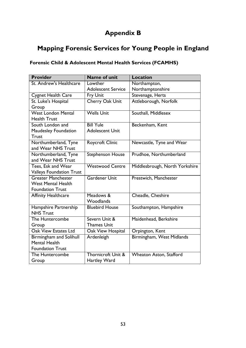## Appendix B

## Mapping Forensic Services for Young People in England

## Forensic Child & Adolescent Mental Health Services (FCAMHS)

| <b>Provider</b>                 | <b>Name of unit</b>       | <b>Location</b>                |
|---------------------------------|---------------------------|--------------------------------|
| St. Andrew's Healthcare         | Lowther                   | Northampton,                   |
|                                 | <b>Adolescent Service</b> | Northamptonshire               |
| <b>Cygnet Health Care</b>       | <b>Fry Unit</b>           | Stevenage, Herts               |
| St. Luke's Hospital             | Cherry Oak Unit           | Attleborough, Norfolk          |
| Group                           |                           |                                |
| <b>West London Mental</b>       | <b>Wells Unit</b>         | Southall, Middlesex            |
| <b>Health Trust</b>             |                           |                                |
| South London and                | <b>Bill Yule</b>          | Beckenham, Kent                |
| Maudesley Foundation            | <b>Adolescent Unit</b>    |                                |
| Trust                           |                           |                                |
| Northumberland, Tyne            | Roycroft Clinic           | Newcastle, Tyne and Wear       |
| and Wear NHS Trust              |                           |                                |
| Northumberland, Tyne            | <b>Stephenson House</b>   | Prudhoe, Northumberland        |
| and Wear NHS Trust              |                           |                                |
| Tees, Esk and Wear              | <b>Westwood Centre</b>    | Middlesbrough, North Yorkshire |
| <b>Valleys Foundation Trust</b> |                           |                                |
| <b>Greater Manchester</b>       | <b>Gardener Unit</b>      | Prestwich, Manchester          |
| <b>West Mental Health</b>       |                           |                                |
| <b>Foundation Trust</b>         |                           |                                |
| <b>Affinity Healthcare</b>      | Meadows &                 | Cheadle, Cheshire              |
|                                 | Woodlands                 |                                |
| Hampshire Partnership           | <b>Bluebird House</b>     | Southampton, Hampshire         |
| <b>NHS Trust</b>                |                           |                                |
| The Huntercombe                 | Severn Unit &             | Maidenhead, Berkshire          |
| Group                           | <b>Thames Unit</b>        |                                |
| <b>Oak View Estates Ltd</b>     | Oak View Hospital         | Orpington, Kent                |
| Birmingham and Solihull         | Ardenleigh                | Birmingham, West Midlands      |
| <b>Mental Health</b>            |                           |                                |
| <b>Foundation Trust</b>         |                           |                                |
| The Huntercombe                 | Thornicroft Unit &        | <b>Wheaton Aston, Stafford</b> |
| Group                           | Hartley Ward              |                                |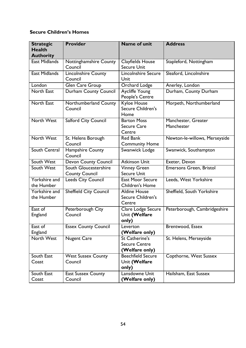## Secure Children's Homes

| <b>Strategic</b>                  | <b>Provider</b>                                | <b>Name of unit</b>                                      | <b>Address</b>                    |
|-----------------------------------|------------------------------------------------|----------------------------------------------------------|-----------------------------------|
| <b>Health</b><br><b>Authority</b> |                                                |                                                          |                                   |
| <b>East Midlands</b>              | Nottinghamshire County<br>Council              | <b>Clayfields House</b><br><b>Secure Unit</b>            | Stapleford, Nottingham            |
| <b>East Midlands</b>              | <b>Lincolnshire County</b><br>Council          | Lincolnshire Secure<br>Unit                              | Sleaford, Lincolnshire            |
| London                            | Glen Care Group                                | Orchard Lodge                                            | Anerley, London                   |
| <b>North East</b>                 | <b>Durham County Council</b>                   | Aycliffe Young<br>People's Centre                        | Durham, County Durham             |
| <b>North East</b>                 | Northumberland County<br>Council               | <b>Kyloe House</b><br>Secure Children's<br>Home          | Morpeth, Northumberland           |
| <b>North West</b>                 | <b>Salford City Council</b>                    | <b>Barton Moss</b><br><b>Secure Care</b><br>Centre       | Manchester, Greater<br>Manchester |
| North West                        | St. Helens Borough<br>Council                  | <b>Red Bank</b><br><b>Community Home</b>                 | Newton-le-willows, Merseyside     |
| South Central                     | Hampshire County<br>Council                    | Swanwick Lodge                                           | Swanwick, Southampton             |
| South West                        | <b>Devon County Council</b>                    | <b>Atkinson Unit</b>                                     | Exeter, Devon                     |
| South West                        | South Gloucestershire<br><b>County Council</b> | <b>Vinney Green</b><br><b>Secure Unit</b>                | Emersons Green, Bristol           |
| Yorkshire and<br>the Humber       | <b>Leeds City Council</b>                      | <b>East Moor Secure</b><br><b>Children's Home</b>        | Leeds, West Yorkshire             |
| Yorkshire and<br>the Humber       | <b>Sheffield City Council</b>                  | <b>Aldine House</b><br>Secure Children's<br>Centre       | Sheffield, South Yorkshire        |
| East of<br>England                | Peterborough City<br>Council                   | Clare Lodge Secure<br>Unit (Welfare<br>only)             | Peterborough, Cambridgeshire      |
| East of<br>England                | <b>Essex County Council</b>                    | Leverton<br>(Welfare only)                               | Brentwood, Essex                  |
| North West                        | <b>Nugent Care</b>                             | St Catherine's<br><b>Secure Centre</b><br>(Welfare only) | St. Helens, Merseyside            |
| South East<br>Coast               | <b>West Sussex County</b><br>Council           | <b>Beechfield Secure</b><br>Unit (Welfare<br>only)       | Copthorne, West Sussex            |
| South East<br>Coast               | <b>East Sussex County</b><br>Council           | Lansdowne Unit<br>(Welfare only)                         | Hailsham, East Sussex             |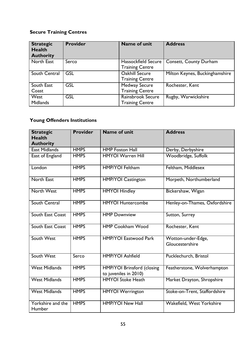## Secure Training Centres

| <b>Strategic</b><br><b>Health</b><br><b>Authority</b> | <b>Provider</b> | Name of unit               | <b>Address</b>                 |
|-------------------------------------------------------|-----------------|----------------------------|--------------------------------|
| North East                                            | Serco           | <b>Hassockfield Secure</b> | Consett, County Durham         |
|                                                       |                 | <b>Training Centre</b>     |                                |
| South Central                                         | <b>GSL</b>      | <b>Oakhill Secure</b>      | Milton Keynes, Buckinghamshire |
|                                                       |                 | <b>Training Centre</b>     |                                |
| South East                                            | <b>GSL</b>      | <b>Medway Secure</b>       | Rochester, Kent                |
| Coast                                                 |                 | <b>Training Centre</b>     |                                |
| West                                                  | <b>GSL</b>      | Rainsbrook Secure          | Rugby, Warwickshire            |
| <b>Midlands</b>                                       |                 | <b>Training Centre</b>     |                                |

## Young Offenders Institutions

| <b>Strategic</b><br><b>Health</b><br><b>Authority</b> | <b>Provider</b> | <b>Name of unit</b>                                        | <b>Address</b>                        |
|-------------------------------------------------------|-----------------|------------------------------------------------------------|---------------------------------------|
| <b>East Midlands</b>                                  | <b>HMPS</b>     | <b>HMP Foston Hall</b>                                     | Derby, Derbyshire                     |
| East of England                                       | <b>HMPS</b>     | <b>HMYOI Warren Hill</b>                                   | Woodbridge, Suffolk                   |
| London                                                | <b>HMPS</b>     | <b>HMP/YOI Feltham</b>                                     | Feltham, Middlesex                    |
| <b>North East</b>                                     | <b>HMPS</b>     | <b>HMP/YOI Castington</b>                                  | Morpeth, Northumberland               |
| North West                                            | <b>HMPS</b>     | <b>HMYOI Hindley</b>                                       | Bickershaw, Wigan                     |
| South Central                                         | <b>HMPS</b>     | <b>HMYOI Huntercombe</b>                                   | Henley-on-Thames, Oxfordshire         |
| South East Coast                                      | <b>HMPS</b>     | <b>HMP Downview</b>                                        | Sutton, Surrey                        |
| South East Coast                                      | <b>HMPS</b>     | <b>HMP Cookham Wood</b>                                    | Rochester, Kent                       |
| South West                                            | <b>HMPS</b>     | <b>HMP/YOI Eastwood Park</b>                               | Wotton-under-Edge,<br>Gloucestershire |
| South West                                            | Serco           | <b>HMP/YOI Ashfield</b>                                    | Pucklechurch, Bristol                 |
| <b>West Midlands</b>                                  | <b>HMPS</b>     | <b>HMP/YOI Brinsford (closing</b><br>to juveniles in 2010) | Featherstone, Wolverhampton           |
| <b>West Midlands</b>                                  | <b>HMPS</b>     | <b>HMYOI Stoke Heath</b>                                   | Market Drayton, Shropshire            |
| <b>West Midlands</b>                                  | <b>HMPS</b>     | <b>HMYOI Werrington</b>                                    | Stoke-on-Trent, Staffordshire         |
| Yorkshire and the<br>Humber                           | <b>HMPS</b>     | <b>HMP/YOI New Hall</b>                                    | Wakefield, West Yorkshire             |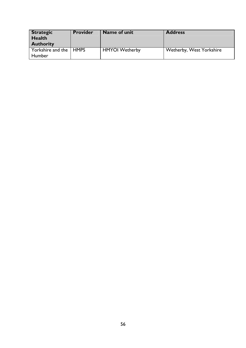| <b>Strategic</b><br><b>Health</b><br><b>Authority</b> | <b>Provider</b> | Name of unit          | <b>Address</b>           |
|-------------------------------------------------------|-----------------|-----------------------|--------------------------|
| Yorkshire and the   HMPS<br>Humber                    |                 | <b>HMYOI</b> Wetherby | Wetherby, West Yorkshire |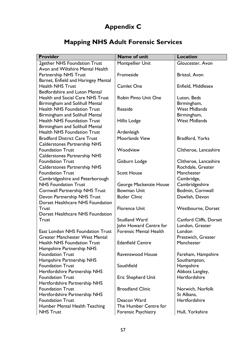# Appendix C

# Mapping NHS Adult Forensic Services

| <b>Provider</b>                                                 | <b>Name of unit</b>           | <b>Location</b>              |
|-----------------------------------------------------------------|-------------------------------|------------------------------|
| 2gether NHS Foundation Trust                                    | Montpellier Unit              | Gloucester, Avon             |
| Avon and Wiltshire Mental Health                                |                               |                              |
| <b>Partnership NHS Trust</b>                                    | Fromeside                     | Bristol, Avon                |
| Barnet, Enfield and Haringey Mental                             |                               |                              |
| <b>Health NHS Trust</b>                                         | <b>Camlet One</b>             | Enfield, Middlesex           |
| <b>Bedfordshire and Luton Mental</b>                            |                               |                              |
| <b>Health and Social Care NHS Trust</b>                         | <b>Robin Pinto Unit One</b>   | Luton, Beds                  |
| <b>Birmingham and Solihull Mental</b>                           |                               | Birmingham,                  |
| <b>Health NHS Foundation Trust</b>                              | Reaside                       | <b>West Midlands</b>         |
| <b>Birmingham and Solihull Mental</b>                           |                               | Birmingham,                  |
| <b>Health NHS Foundation Trust</b>                              | Hillis Lodge                  | <b>West Midlands</b>         |
| Birmingham and Solihull Mental                                  |                               |                              |
| <b>Health NHS Foundation Trust</b>                              | Ardenleigh                    |                              |
| <b>Bradford District Care Trust</b>                             | Moorlands View                | Bradford, Yorks              |
| <b>Calderstones Partnership NHS</b>                             |                               |                              |
| <b>Foundation Trust</b>                                         | Woodview                      | Clitheroe, Lancashire        |
| <b>Calderstones Partnership NHS</b>                             |                               |                              |
| <b>Foundation Trust</b>                                         | Gisburn Lodge                 | Clitheroe, Lancashire        |
| <b>Calderstones Partnership NHS</b>                             |                               | Rochdale, Greater            |
| <b>Foundation Trust</b>                                         | <b>Scott House</b>            | Manchester                   |
| Cambridgeshire and Peterborough<br><b>NHS Foundation Trust</b>  | George Mackenzie House        | Cambridge,<br>Cambridgeshire |
|                                                                 | <b>Bowman Unit</b>            | Bodmin, Cornwall             |
| <b>Cornwall Partnership NHS Trust</b>                           | <b>Butler Clinic</b>          |                              |
| Devon Partnership NHS Trust<br>Dorset Healthcare NHS Foundation |                               | Dawlish, Devon               |
| Trust                                                           | <b>Florence Unit</b>          | <b>Westbourne, Dorset</b>    |
| Dorset Healthcare NHS Foundation                                |                               |                              |
| <b>Trust</b>                                                    | <b>Studland Ward</b>          | Canford Cliffs, Dorset       |
|                                                                 | John Howard Centre for        | London, Greater              |
| East London NHS Foundation Trust                                | <b>Forensic Mental Health</b> | London                       |
| <b>Greater Manchester West Mental</b>                           |                               | Prestwich, Greater           |
| <b>Health NHS Foundation Trust</b>                              | <b>Edenfield Centre</b>       | Manchester                   |
| Hampshire Partnership NHS                                       |                               |                              |
| <b>Foundation Trust</b>                                         | Ravenswood House              | Fareham, Hampshire           |
| Hampshire Partnership NHS                                       |                               | Southampton,                 |
| <b>Foundation Trust</b>                                         | Southfield                    | Hampshire                    |
| Hertfordshire Partnership NHS                                   |                               | Abbots Langley,              |
| <b>Foundation Trust</b>                                         | <b>Eric Shepherd Unit</b>     | Hertfordshire                |
| Hertfordshire Partnership NHS                                   |                               |                              |
| <b>Foundation Trust</b>                                         | <b>Broadland Clinic</b>       | Norwich, Norfolk             |
| Hertfordshire Partnership NHS                                   |                               | St Albans,                   |
| <b>Foundation Trust</b>                                         | Deacon Ward                   | Hertfordshire                |
| Humber Mental Health Teaching                                   | The Humber Centre for         |                              |
| <b>NHS Trust</b>                                                | Forensic Psychiatry           | Hull, Yorkshire              |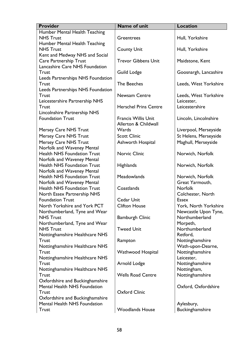| <b>Provider</b>                    | <b>Name of unit</b>          | <b>Location</b>       |
|------------------------------------|------------------------------|-----------------------|
| Humber Mental Health Teaching      |                              |                       |
| <b>NHS Trust</b>                   | Greentrees                   | Hull, Yorkshire       |
| Humber Mental Health Teaching      |                              |                       |
| <b>NHS Trust</b>                   | <b>County Unit</b>           | Hull, Yorkshire       |
| Kent and Medway NHS and Social     |                              |                       |
| <b>Care Partnership Trust</b>      | <b>Trevor Gibbens Unit</b>   | Maidstone, Kent       |
| Lancashire Care NHS Foundation     |                              |                       |
| <b>Trust</b>                       | <b>Guild Lodge</b>           | Goosnargh, Lancashire |
| Leeds Partnerships NHS Foundation  |                              |                       |
| <b>Trust</b>                       | The Beeches                  | Leeds, West Yorkshire |
| Leeds Partnerships NHS Foundation  |                              |                       |
| <b>Trust</b>                       | <b>Newsam Centre</b>         | Leeds, West Yorkshire |
| Leicestershire Partnership NHS     |                              | Leicester,            |
| <b>Trust</b>                       | <b>Herschel Prins Centre</b> | Leicestershire        |
| Lincolnshire Partnership NHS       |                              |                       |
| <b>Foundation Trust</b>            | <b>Francis Willis Unit</b>   | Lincoln, Lincolnshire |
|                                    | Allerton & Childwall         |                       |
| <b>Mersey Care NHS Trust</b>       | Wards                        | Liverpool, Merseyside |
| Mersey Care NHS Trust              | <b>Scott Clinic</b>          | St Helens, Merseyside |
| Mersey Care NHS Trust              | Ashworth Hospital            | Maghull, Merseyside   |
| Norfolk and Waveney Mental         |                              |                       |
| <b>Health NHS Foundation Trust</b> | <b>Norvic Clinic</b>         | Norwich, Norfolk      |
| Norfolk and Waveney Mental         |                              |                       |
| <b>Health NHS Foundation Trust</b> | <b>Highlands</b>             | Norwich, Norfolk      |
| Norfolk and Waveney Mental         |                              |                       |
| <b>Health NHS Foundation Trust</b> | Meadowlands                  | Norwich, Norfolk      |
| Norfolk and Waveney Mental         |                              | Great Yarmouth,       |
| <b>Health NHS Foundation Trust</b> | Coastlands                   | <b>Norfolk</b>        |
| North Essex Partnership NHS        |                              | Colchester, North     |
| <b>Foundation Trust</b>            | Cedar Unit                   | <b>Essex</b>          |
| North Yorkshire and York PCT       | <b>Clifton House</b>         | York, North Yorkshire |
| Northumberland, Tyne and Wear      |                              | Newcastle Upon Tyne,  |
| <b>NHS Trust</b>                   | <b>Bamburgh Clinic</b>       | Northumberland        |
| Northumberland, Tyne and Wear      |                              | Morpeth,              |
| <b>NHS Trust</b>                   | <b>Tweed Unit</b>            | Northumberland        |
| Nottinghamshire Healthcare NHS     |                              | Retford,              |
| <b>Trust</b>                       | Rampton                      | Nottinghamshire       |
| Nottinghamshire Healthcare NHS     |                              | Wath-upon-Dearne,     |
| <b>Trust</b>                       | <b>Wathwood Hospital</b>     | Nottinghamshire       |
| Nottinghamshire Healthcare NHS     |                              | Leicester,            |
| Trust                              | Arnold Lodge                 | Nottinghamshire       |
| Nottinghamshire Healthcare NHS     |                              | Nottingham,           |
| <b>Trust</b>                       | <b>Wells Road Centre</b>     | Nottinghamshire       |
| Oxfordshire and Buckinghamshire    |                              |                       |
| Mental Health NHS Foundation       |                              | Oxford, Oxfordshire   |
| Trust                              | <b>Oxford Clinic</b>         |                       |
| Oxfordshire and Buckinghamshire    |                              |                       |
| Mental Health NHS Foundation       |                              | Aylesbury,            |
| <b>Trust</b>                       | <b>Woodlands House</b>       | Buckinghamshire       |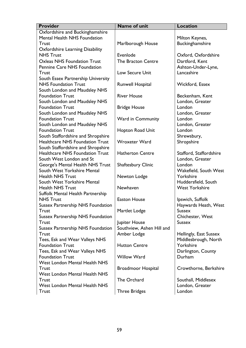| <b>Provider</b>                                       | <b>Name of unit</b>       | <b>Location</b>         |
|-------------------------------------------------------|---------------------------|-------------------------|
| Oxfordshire and Buckinghamshire                       |                           |                         |
| Mental Health NHS Foundation                          |                           | Milton Keynes,          |
| <b>Trust</b>                                          | Marlborough House         | Buckinghamshire         |
| <b>Oxfordshire Learning Disability</b>                |                           |                         |
| <b>NHS Trust</b>                                      | Evenlode                  | Oxford, Oxfordshire     |
| <b>Oxleas NHS Foundation Trust</b>                    | The Bracton Centre        | Dartford, Kent          |
| Pennine Care NHS Foundation                           |                           | Ashton-Under-Lyne,      |
| <b>Trust</b>                                          | <b>Low Secure Unit</b>    | Lancashire              |
| South Essex Partnership University                    |                           |                         |
| <b>NHS Foundation Trust</b>                           | <b>Runwell Hospital</b>   | Wickford, Essex         |
| South London and Maudsley NHS                         |                           |                         |
| <b>Foundation Trust</b>                               | <b>River House</b>        | Beckenham, Kent         |
| South London and Maudsley NHS                         |                           | London, Greater         |
| <b>Foundation Trust</b>                               | <b>Bridge House</b>       | London                  |
| South London and Maudsley NHS                         |                           | London, Greater         |
| <b>Foundation Trust</b>                               | Ward in Community         | London                  |
| South London and Maudsley NHS                         |                           | London, Greater         |
| <b>Foundation Trust</b>                               | Hopton Road Unit          | London                  |
| South Staffordshire and Shropshire                    |                           | Shrewsbury,             |
| <b>Healthcare NHS Foundation Trust</b>                | <b>Wroxeter Ward</b>      | Shropshire              |
| South Staffordshire and Shropshire                    |                           |                         |
| <b>Healthcare NHS Foundation Trust</b>                | <b>Hatherton Centre</b>   | Stafford, Staffordshire |
| South West London and St                              |                           | London, Greater         |
| George's Mental Health NHS Trust                      | <b>Shaftesbury Clinic</b> | London                  |
| South West Yorkshire Mental                           |                           | Wakefield, South West   |
| <b>Health NHS Trust</b>                               | Newton Lodge              | Yorkshire               |
| South West Yorkshire Mental                           |                           | Huddersfield, South     |
| <b>Health NHS Trust</b>                               | Newhaven                  | <b>West Yorkshire</b>   |
| Suffolk Mental Health Partnership<br><b>NHS Trust</b> | <b>Easton House</b>       | Ipswich, Suffolk        |
| <b>Sussex Partnership NHS Foundation</b>              |                           | Haywards Heath, West    |
| Trust                                                 | Martlet Lodge             | <b>Sussex</b>           |
| <b>Sussex Partnership NHS Foundation</b>              |                           | Chichester, West        |
| Trust                                                 | Jupiter House             | <b>Sussex</b>           |
| <b>Sussex Partnership NHS Foundation</b>              | Southview, Ashen Hill and |                         |
| Trust                                                 | Amber Lodge               | Hellingly, East Sussex  |
| Tees, Esk and Wear Valleys NHS                        |                           | Middlesbrough, North    |
| <b>Foundation Trust</b>                               | <b>Hutton Centre</b>      | Yorkshire               |
| Tees, Esk and Wear Valleys NHS                        |                           | Darlington, County      |
| <b>Foundation Trust</b>                               | <b>Willow Ward</b>        | Durham                  |
| <b>West London Mental Health NHS</b>                  |                           |                         |
| <b>Trust</b>                                          | <b>Broadmoor Hospital</b> | Crowthorne, Berkshire   |
| <b>West London Mental Health NHS</b>                  |                           |                         |
| <b>Trust</b>                                          | The Orchard               | Southall, Middlesex     |
| <b>West London Mental Health NHS</b>                  |                           | London, Greater         |
| <b>Trust</b>                                          | <b>Three Bridges</b>      | London                  |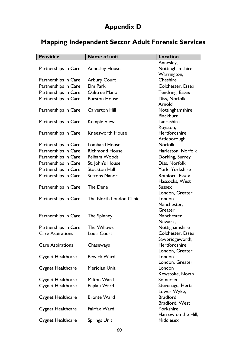# Appendix D

# Mapping Independent Sector Adult Forensic Services

| <b>Provider</b>          | <b>Name of unit</b>     | <b>Location</b>       |
|--------------------------|-------------------------|-----------------------|
|                          |                         | Annesley,             |
| Partnerships in Care     | <b>Annesley House</b>   | Nottinghamshire       |
|                          |                         | Warrington,           |
| Partnerships in Care     | <b>Arbury Court</b>     | Cheshire              |
| Partnerships in Care     | Elm Park                | Colchester, Essex     |
| Partnerships in Care     | <b>Oaktree Manor</b>    | Tendring, Essex       |
| Partnerships in Care     | <b>Burston House</b>    | Diss, Norfolk         |
|                          |                         | Arnold,               |
| Partnerships in Care     | <b>Calverton Hill</b>   | Nottinghamshire       |
|                          |                         | Blackburn,            |
| Partnerships in Care     | <b>Kemple View</b>      | Lancashire            |
|                          |                         | Royston,              |
| Partnerships in Care     | <b>Kneesworth House</b> | Hertfordshire         |
|                          |                         | Attleborough,         |
| Partnerships in Care     | <b>Lombard House</b>    | <b>Norfolk</b>        |
| Partnerships in Care     | <b>Richmond House</b>   | Harleston, Norfolk    |
| Partnerships in Care     | Pelham Woods            | Dorking, Surrey       |
| Partnerships in Care     | St. John's House        | Diss, Norfolk         |
| Partnerships in Care     | <b>Stockton Hall</b>    | York, Yorkshire       |
| Partnerships in Care     | <b>Suttons Manor</b>    | Romford, Essex        |
|                          |                         | Hassocks, West        |
| Partnerships in Care     | The Dene                | <b>Sussex</b>         |
|                          |                         | London, Greater       |
| Partnerships in Care     | The North London Clinic | London                |
|                          |                         | Manchester,           |
|                          |                         | Greater<br>Manchester |
| Partnerships in Care     | The Spinney             | Newark,               |
| Partnerships in Care     | The Willows             | Nottighamshire        |
| <b>Care Aspirations</b>  | Louis Court             | Colchester, Essex     |
|                          |                         | Sawbridgeworth,       |
| <b>Care Aspirations</b>  | Chaseways               | Hertfordshire         |
|                          |                         | London, Greater       |
| Cygnet Healthcare        | <b>Bewick Ward</b>      | London                |
|                          |                         | London, Greater       |
| Cygnet Healthcare        | Meridian Unit           | London                |
|                          |                         | Kewstoke, North       |
| Cygnet Healthcare        | Milton Ward             | Somerset              |
| Cygnet Healthcare        | Peplau Ward             | Stevenage, Herts      |
|                          |                         | Lower Wyke,           |
| Cygnet Healthcare        | <b>Bronte Ward</b>      | <b>Bradford</b>       |
|                          |                         | Bradford, West        |
| Cygnet Healthcare        | Fairfax Ward            | Yorkshire             |
|                          |                         | Harrow on the Hill,   |
| <b>Cygnet Healthcare</b> | <b>Springs Unit</b>     | Middlesex             |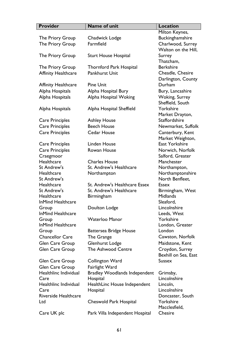| <b>Provider</b>            | <b>Name of unit</b>                  | <b>Location</b>      |
|----------------------------|--------------------------------------|----------------------|
|                            |                                      | Milton Keynes,       |
| The Priory Group           | Chadwick Lodge                       | Buckinghamshire      |
| The Priory Group           | Farmfield                            | Charlwood, Surrey    |
|                            |                                      | Walton on the Hill,  |
| The Priory Group           | <b>Sturt House Hospital</b>          | Surrey               |
|                            |                                      | Thatcham,            |
| The Priory Group           | <b>Thornford Park Hospital</b>       | <b>Berkshire</b>     |
| <b>Affinity Healthcare</b> | Pankhurst Unit                       | Cheadle, Chesire     |
|                            |                                      | Darlington, County   |
| <b>Affinity Healthcare</b> | <b>Pine Unit</b>                     | Durham               |
| Alpha Hospitals            | Alpha Hospital Bury                  | Bury, Lancashire     |
| Alpha Hospitals            | Alpha Hospital Woking                | Woking, Surrey       |
|                            |                                      | Sheffield, South     |
| Alpha Hospitals            | Alpha Hospital Sheffield             | Yorkshire            |
|                            |                                      | Market Drayton,      |
| <b>Care Principles</b>     | <b>Ashley House</b>                  | <b>Staffordshire</b> |
| <b>Care Principles</b>     | <b>Beech House</b>                   | Newmarket, Suffolk   |
| <b>Care Principles</b>     | Cedar House                          | Canterbury, Kent     |
|                            |                                      | Market Weighton,     |
| Care Principles            | <b>Linden House</b>                  | East Yorkshire       |
| <b>Care Principles</b>     | Rowan House                          | Norwich, Norfolk     |
| Craegmoor                  |                                      | Salford, Greater     |
| Healthcare                 | <b>Charles House</b>                 | Manchester           |
| St Andrew's                | St. Andrew's Healthcare              | Northampton,         |
| Healthcare                 | Northampton                          | Northamptonshire     |
| St Andrew's                |                                      | North Benfleet,      |
| Healthcare                 | St. Andrew's Healthcare Essex        | <b>Essex</b>         |
| St Andrew's                | St. Andrew's Healthcare              | Birmingham, West     |
| Healthcare                 | Birmingham                           | <b>Midlands</b>      |
| InMind Healthcare          |                                      | Sleaford,            |
| Group                      | Doulton Lodge                        | Lincolnshire         |
| <b>InMind Healthcare</b>   |                                      | Leeds, West          |
| Group                      | <b>Waterloo Manor</b>                | Yorkshire            |
| InMind Healthcare          |                                      | London, Greater      |
| Group                      | <b>Battersea Bridge House</b>        | London               |
| <b>Chancellor Care</b>     | The Grange                           | Cawston, Norfolk     |
| Glen Care Group            | <b>Glenhurst Lodge</b>               | Maidstone, Kent      |
| Glen Care Group            | <b>The Ashwood Centre</b>            | Croydon, Surrey      |
|                            |                                      | Bexhill on Sea, East |
| Glen Care Group            | Collington Ward                      | <b>Sussex</b>        |
| <b>Glen Care Group</b>     | Fairlight Ward                       |                      |
| Healthlinc Individual      | <b>Bradley Woodlands Independent</b> | Grimsby,             |
| Care                       | Hospital                             | Lincolnshire         |
| Healthlinc Individual      | HealthLinc House Independent         | Lincoln,             |
| Care                       | Hospital                             | Lincolnshire         |
| Riverside Healthcare       |                                      | Doncaster, South     |
| Ltd                        | Cheswold Park Hospital               | Yorkshire            |
|                            |                                      | Macclesfield,        |
| Care UK plc                | Park Villa Independent Hospital      | Chesire              |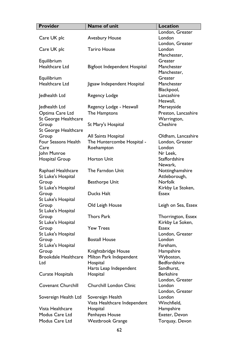| <b>Provider</b>             | <b>Name of unit</b>            | <b>Location</b>                  |
|-----------------------------|--------------------------------|----------------------------------|
|                             |                                | London, Greater                  |
| Care UK plc                 | <b>Avesbury House</b>          | London                           |
|                             |                                | London, Greater                  |
| Care UK plc                 | <b>Tariro House</b>            | London                           |
|                             |                                | Manchester,                      |
| Equilibrium                 |                                | Greater                          |
| Healthcare Ltd              | Bigfoot Independent Hospital   | Manchester                       |
|                             |                                | Manchester,                      |
| Equilibrium                 |                                | Greater                          |
| Healthcare Ltd              | Jigsaw Independent Hospital    | Manchester                       |
|                             |                                | Blackpool,                       |
| Jedhealth Ltd               | Regency Lodge                  | Lancashire                       |
|                             |                                | Heswall,                         |
| Jedhealth Ltd               | Regency Lodge - Heswall        | Merseyside                       |
| Optima Care Ltd             | The Hamptons                   | Preston, Lancashire              |
| St George Healthcare        |                                | Warrington,                      |
| Group                       | St Mary's Hospital             | Cheshire                         |
| St George Healthcare        |                                |                                  |
| Group                       | All Saints Hospital            | Oldham, Lancashire               |
| Four Seasons Health         | The Huntercombe Hospital -     | London, Greater                  |
| Care                        | Roehampton                     | London                           |
| John Munroe                 |                                | Nr Leek,                         |
| Hospital Group              | Horton Unit                    | <b>Staffordshire</b>             |
|                             |                                | Newark,                          |
| Raphael Healthcare          | The Farndon Unit               | Nottinghamshire                  |
| St Luke's Hospital          |                                | Attleborough,                    |
| Group                       | <b>Besthorpe Unit</b>          | <b>Norfolk</b>                   |
| St Luke's Hospital          |                                | Kirkby Le Stoken,                |
| Group                       | Ducks Halt                     | <b>Essex</b>                     |
| St Luke's Hospital          |                                |                                  |
| Group                       | Old Leigh House                | Leigh on Sea, Essex              |
| St Luke's Hospital          |                                |                                  |
| Group                       | <b>Thors Park</b>              | Thorrington, Essex               |
| St Luke's Hospital          |                                | Kirkby Le Soken,                 |
| Group                       | <b>Yew Trees</b>               | <b>Essex</b>                     |
| St Luke's Hospital          |                                | London, Greater                  |
| Group                       | <b>Bostall House</b>           | London                           |
| St Luke's Hospital          |                                | Fareham,                         |
| Group                       | Knightsbridge House            | Hampshire                        |
| <b>Brookdale Healthcare</b> | Milton Park Independent        | Wyboston,<br><b>Bedfordshire</b> |
| Ltd                         | Hospital                       |                                  |
|                             | Harts Leap Independent         | Sandhurst,<br><b>Berkshire</b>   |
| <b>Curate Hospitals</b>     | Hospital                       |                                  |
|                             |                                | London, Greater                  |
| <b>Covenant Churchill</b>   | <b>Churchill London Clinic</b> | London                           |
|                             |                                | London, Greater                  |
| Sovereign Health Ltd        | Sovereign Health               | London                           |
| Vista Healthcare            | Vista Healthcare Independent   | Winchfield,                      |
|                             | Hospital                       | Hampshire                        |
| Modus Care Ltd              | Penhayes House                 | Exeter, Devon                    |
| Modus Care Ltd              | <b>Westbrook Grange</b>        | Torquay, Devon                   |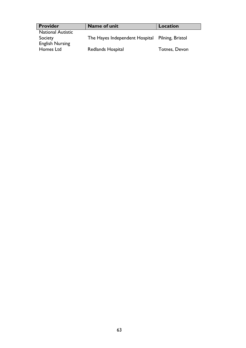| <b>Provider</b>          | Name of unit                                    | Location             |
|--------------------------|-------------------------------------------------|----------------------|
| <b>National Autistic</b> |                                                 |                      |
| Society                  | The Hayes Independent Hospital Pilning, Bristol |                      |
| <b>English Nursing</b>   |                                                 |                      |
| Homes Ltd                | Redlands Hospital                               | <b>Totnes, Devon</b> |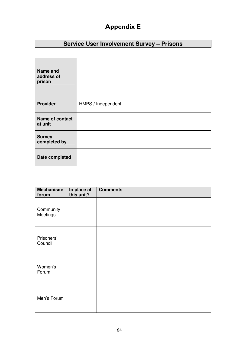# Appendix E

## **Service User Involvement Survey – Prisons**

| <b>Name and</b><br>address of<br>prison |                    |
|-----------------------------------------|--------------------|
| <b>Provider</b>                         | HMPS / Independent |
| Name of contact<br>at unit              |                    |
| <b>Survey</b><br>completed by           |                    |
| Date completed                          |                    |

| Mechanism/<br>forum   | In place at<br>this unit? | <b>Comments</b> |
|-----------------------|---------------------------|-----------------|
| Community<br>Meetings |                           |                 |
| Prisoners'<br>Council |                           |                 |
| Women's<br>Forum      |                           |                 |
| Men's Forum           |                           |                 |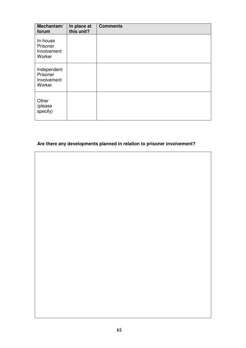| Mechanism/<br>forum                              | In place at<br>this unit? | <b>Comments</b> |
|--------------------------------------------------|---------------------------|-----------------|
| In-house<br>Prisoner<br>Involvement<br>Worker    |                           |                 |
| Independent<br>Prisoner<br>Involvement<br>Worker |                           |                 |
| Other<br>(please<br>specify)                     |                           |                 |

## **Are there any developments planned in relation to prisoner involvement?**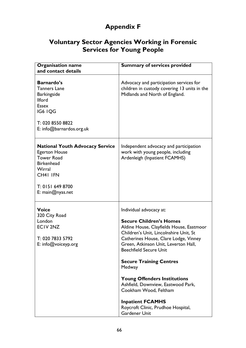# Appendix F

## Voluntary Sector Agencies Working in Forensic Services for Young People

| <b>Organisation name</b><br>and contact details                                                                                                                          | <b>Summary of services provided</b>                                                                                                                                                                                                                                                                                                                                                                                                                                                                          |  |  |
|--------------------------------------------------------------------------------------------------------------------------------------------------------------------------|--------------------------------------------------------------------------------------------------------------------------------------------------------------------------------------------------------------------------------------------------------------------------------------------------------------------------------------------------------------------------------------------------------------------------------------------------------------------------------------------------------------|--|--|
| <b>Barnardo's</b><br><b>Tanners Lane</b><br><b>Barkingside</b><br><b>Ilford</b><br><b>Essex</b><br>IG6 IQG<br>T: 020 8550 8822<br>E: info@barnardos.org.uk               | Advocacy and participation services for<br>children in custody covering 13 units in the<br>Midlands and North of England.                                                                                                                                                                                                                                                                                                                                                                                    |  |  |
| <b>National Youth Advocacy Service</b><br><b>Egerton House</b><br><b>Tower Road</b><br><b>Birkenhead</b><br>Wirral<br>CH41 IFN<br>T: 0151 649 8700<br>E: $main@nyas.net$ | Independent advocacy and participation<br>work with young people, including<br>Ardenleigh (Inpatient FCAMHS)                                                                                                                                                                                                                                                                                                                                                                                                 |  |  |
| <b>Voice</b><br>320 City Road<br>London<br>ECIV2NZ<br>T: 020 7833 5792<br>E: info@voiceyp.org                                                                            | Individual advocacy at:<br><b>Secure Children's Homes</b><br>Aldine House, Clayfields House, Eastmoor<br>Children's Unit, Lincolnshire Unit, St<br>Catherines House, Clare Lodge, Vinney<br>Green, Atkinson Unit, Leverton Hall,<br><b>Beechfield Secure Unit</b><br><b>Secure Training Centres</b><br>Medway<br><b>Young Offenders Institutions</b><br>Ashfield, Downview, Eastwood Park,<br>Cookham Wood, Feltham<br><b>Inpatient FCAMHS</b><br>Roycroft Clinic, Prudhoe Hospital,<br><b>Gardener Unit</b> |  |  |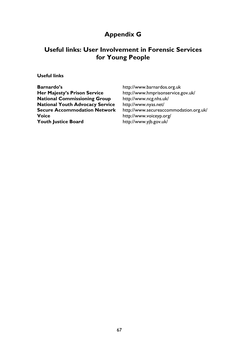## Appendix G

## Useful links: User Involvement in Forensic Services for Young People

## Useful links

| <b>Barnardo's</b>                      | http://www.barnardos.org.uk            |  |  |
|----------------------------------------|----------------------------------------|--|--|
| <b>Her Majesty's Prison Service</b>    | http://www.hmprisonservice.gov.uk/     |  |  |
| <b>National Commissioning Group</b>    | http://www.ncg.nhs.uk/                 |  |  |
| <b>National Youth Advocacy Service</b> | http://www.nyas.net/                   |  |  |
| <b>Secure Accommodation Network</b>    | http://www.secureaccommodation.org.uk/ |  |  |
| <b>Voice</b>                           | http://www.voiceyp.org/                |  |  |
| <b>Youth Justice Board</b>             | http://www.yjb.gov.uk/                 |  |  |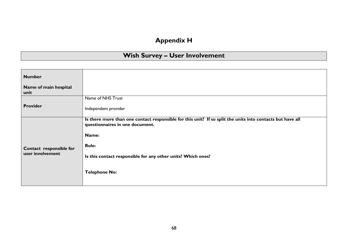## Appendix H

## Wish Survey – User Involvement

| <b>Number</b>                 |                                                                                                                                               |
|-------------------------------|-----------------------------------------------------------------------------------------------------------------------------------------------|
| Name of main hospital<br>unit |                                                                                                                                               |
|                               | Name of NHS Trust                                                                                                                             |
| <b>Provider</b>               | Independent provider                                                                                                                          |
|                               | Is there more than one contact responsible for this unit? If so split the units into contacts but have all<br>questionnaires in one document. |
|                               | Name:                                                                                                                                         |
| Contact responsible for       | <b>Role:</b>                                                                                                                                  |
| user involvement              | Is this contact responsible for any other units? Which ones?                                                                                  |
|                               | <b>Telephone No:</b>                                                                                                                          |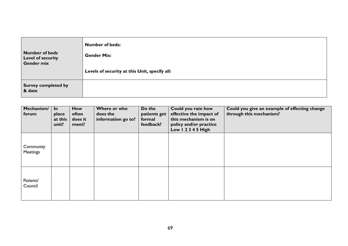| <b>Number of beds</b>                | <b>Number of beds:</b>                        |
|--------------------------------------|-----------------------------------------------|
| <b>Level of security</b>             | <b>Gender Mix:</b>                            |
| Gender mix                           | Levels of security at this Unit, specify all: |
| <b>Survey completed by</b><br>& date |                                               |

| Mechanism/<br>forum          | In<br>place<br>at this<br>unit? | How<br>often<br>does it<br>meet? | Where or who<br>does the<br>information go to? | Do the<br>patients get<br>formal<br>feedback? | Could you rate how<br>effective the impact of<br>this mechanism is on<br>policy and/or practice<br>Low 1 2 3 4 5 High | Could you give an example of effecting change<br>through this mechanism? |
|------------------------------|---------------------------------|----------------------------------|------------------------------------------------|-----------------------------------------------|-----------------------------------------------------------------------------------------------------------------------|--------------------------------------------------------------------------|
| Community<br><b>Meetings</b> |                                 |                                  |                                                |                                               |                                                                                                                       |                                                                          |
| Patients'<br>Council         |                                 |                                  |                                                |                                               |                                                                                                                       |                                                                          |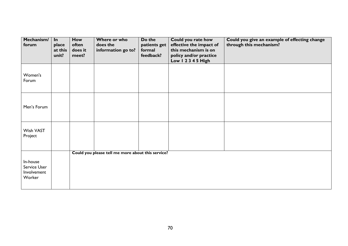| Mechanism/<br>forum                               | In<br>place<br>at this<br>unit? | How<br>often<br>does it<br>meet? | Where or who<br>does the<br>information go to?    | Do the<br>patients get<br>formal<br>feedback? | Could you rate how<br>effective the impact of<br>this mechanism is on<br>policy and/or practice | Could you give an example of effecting change<br>through this mechanism? |
|---------------------------------------------------|---------------------------------|----------------------------------|---------------------------------------------------|-----------------------------------------------|-------------------------------------------------------------------------------------------------|--------------------------------------------------------------------------|
| Women's<br>Forum                                  |                                 |                                  |                                                   |                                               | Low 1 2 3 4 5 High                                                                              |                                                                          |
| Men's Forum                                       |                                 |                                  |                                                   |                                               |                                                                                                 |                                                                          |
| Wish VAST<br>Project                              |                                 |                                  |                                                   |                                               |                                                                                                 |                                                                          |
| In-house<br>Service User<br>Involvement<br>Worker |                                 |                                  | Could you please tell me more about this service? |                                               |                                                                                                 |                                                                          |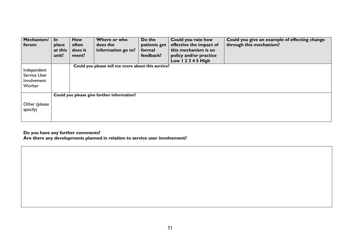| Mechanism/<br>forum                                  | <u>In</u><br>place<br>at this<br>unit? | <b>How</b><br>often<br>does it<br>meet? | Where or who<br>does the<br>information go to?    | Do the<br>patients get<br>formal<br>feedback? | Could you rate how<br>effective the impact of<br>this mechanism is on<br>policy and/or practice<br>Low $12345$ High | Could you give an example of effecting change<br>through this mechanism? |
|------------------------------------------------------|----------------------------------------|-----------------------------------------|---------------------------------------------------|-----------------------------------------------|---------------------------------------------------------------------------------------------------------------------|--------------------------------------------------------------------------|
| Independent<br>Service User<br>Involvement<br>Worker |                                        |                                         | Could you please tell me more about this service? |                                               |                                                                                                                     |                                                                          |
| Other (please<br>specify)                            |                                        |                                         | Could you please give further information?        |                                               |                                                                                                                     |                                                                          |

Do you have any further comments? Are there any developments planned in relation to service user involvement?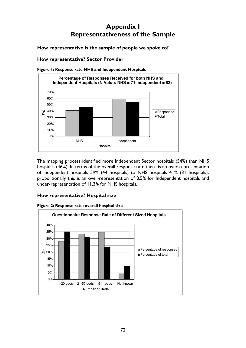# Appendix I Representativeness of the Sample

How representative is the sample of people we spoke to?

# How representative? Sector Provider



Figure 1: Response rate NHS and Independent Hospitals

The mapping process identified more Independent Sector hospitals (54%) than NHS hospitals (46%). In terms of the overall response rate there is an over-representation of Independent hospitals 59% (44 hospitals) to NHS hospitals 41% (31 hospitals); proportionally this is an over-representation of 8.5% for Independent hospitals and under-representation of 11.3% for NHS hospitals.

# How representative? Hospital size



Figure 2: Response rate: overall hospital size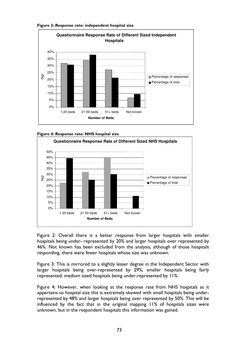







Figure 2: Overall there is a better response from larger hospitals with smaller hospitals being under- represented by 20% and larger hospitals over represented by 46%. Not known has been excluded from the analysis, although of those hospitals responding, there were fewer hospitals whose size was unknown.

Figure 3: This is mirrored to a slightly lesser degree in the Independent Sector with larger hospitals being over-represented by 29%, smaller hospitals being fairly represented; medium sized hospitals being under-represented by 11%.

Figure 4: However, when looking at the response rate from NHS hospitals as it appertains to hospital size this is extremely skewed with small hospitals being underrepresented by 48% and larger hospitals being over represented by 50%. This will be influenced by the fact that in the original mapping 11% of hospitals sizes were unknown, but in the respondent hospitals this information was gained.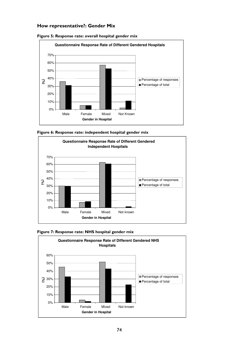#### How representative?: Gender Mix











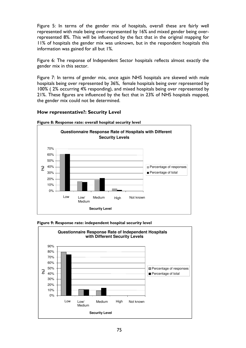Figure 5: In terms of the gender mix of hospitals, overall these are fairly well represented with male being over-represented by 16% and mixed gender being overrepresented 8%. This will be influenced by the fact that in the original mapping for 11% of hospitals the gender mix was unknown, but in the respondent hospitals this information was gained for all but 1%.

Figure 6: The response of Independent Sector hospitals reflects almost exactly the gender mix in this sector.

Figure 7: In terms of gender mix, once again NHS hospitals are skewed with male hospitals being over represented by 36%, female hospitals being over represented by 100% ( 2% occurring 4% responding), and mixed hospitals being over represented by 21%. These figures are influenced by the fact that in 23% of NHS hospitals mapped, the gender mix could not be determined.

## How representative?: Security Level



Figure 8: Response rate: overall hospital security level



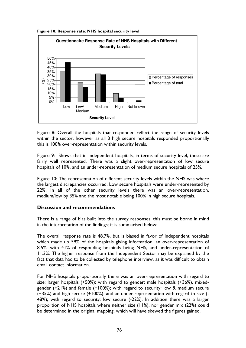Figure 10: Response rate: NHS hospital security level



Figure 8: Overall the hospitals that responded reflect the range of security levels within the sector, however as all 3 high secure hospitals responded proportionally this is 100% over-representation within security levels.

Figure 9: Shows that in Independent hospitals, in terms of security level, these are fairly well represented. There was a slight over-representation of low secure hospitals of 10%, and an under-representation of medium secure hospitals of 25%.

Figure 10: The representation of different security levels within the NHS was where the largest discrepancies occurred. Low secure hospitals were under-represented by 22%. In all of the other security levels there was an over-representation, medium/low by 35% and the most notable being 100% in high secure hospitals.

# Discussion and recommendations

There is a range of bias built into the survey responses, this must be borne in mind in the interpretation of the findings; it is summarised below:

The overall response rate is 48.7%, but is biased in favor of Independent hospitals which made up 59% of the hospitals giving information, an over-representation of 8.5%, with 41% of responding hospitals being NHS, and under-representation of 11.3%. The higher response from the Independent Sector may be explained by the fact that data had to be collected by telephone interview, as it was difficult to obtain email contact information.

For NHS hospitals proportionally there was an over-representation with regard to size: larger hospitals (+50%); with regard to gender: male hospitals (+36%), mixedgender (+21%) and female (+100%); with regard to security: low & medium secure (+35%) and high secure (+100%); and an under-representation with regard to size (- 48%); with regard to security: low secure (-22%). In addition there was a larger proportion of NHS hospitals where neither size (11%), nor gender mix (22%) could be determined in the original mapping, which will have skewed the figures gained.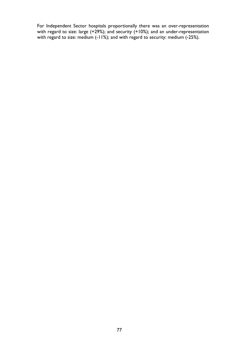For Independent Sector hospitals proportionally there was an over-representation with regard to size: large (+29%); and security (+10%); and an under-representation with regard to size: medium (-11%); and with regard to security: medium (-25%).